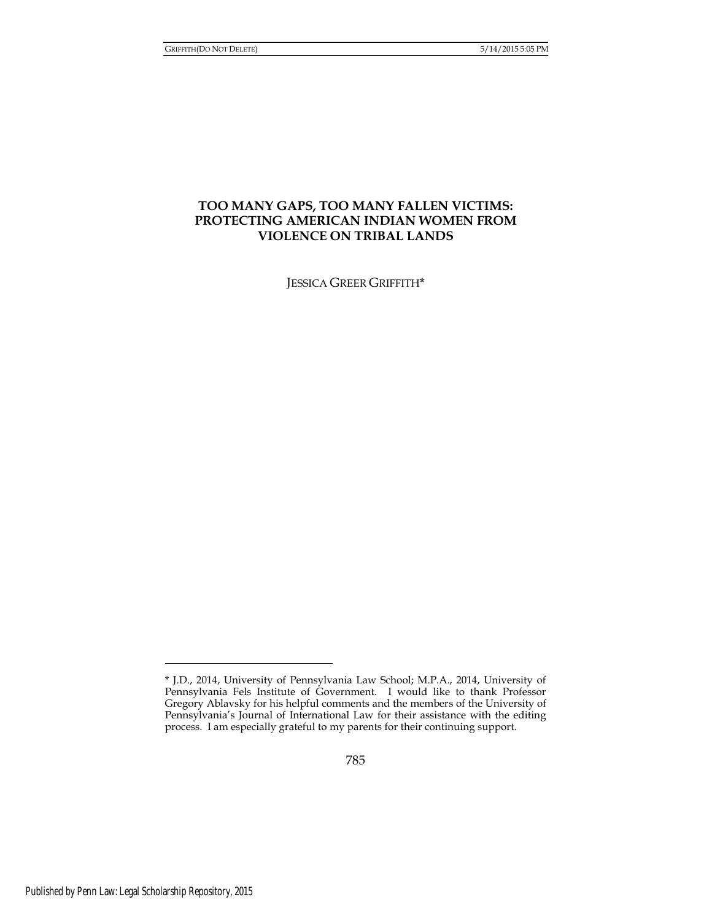# **TOO MANY GAPS, TOO MANY FALLEN VICTIMS: PROTECTING AMERICAN INDIAN WOMEN FROM VIOLENCE ON TRIBAL LANDS**

JESSICA GREER GRIFFITH\*

<sup>\*</sup> J.D., 2014, University of Pennsylvania Law School; M.P.A., 2014, University of Pennsylvania Fels Institute of Government. I would like to thank Professor Gregory Ablavsky for his helpful comments and the members of the University of Pennsylvania's Journal of International Law for their assistance with the editing process. I am especially grateful to my parents for their continuing support.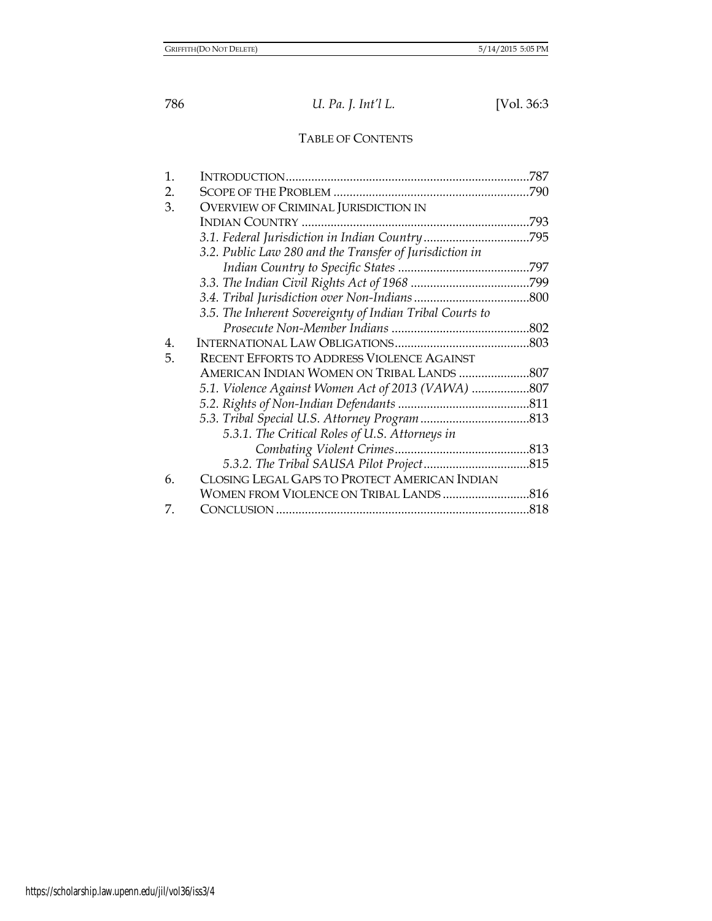# TABLE OF CONTENTS

| 1. |                                                          | .787 |
|----|----------------------------------------------------------|------|
| 2. |                                                          | .790 |
| 3. | <b>OVERVIEW OF CRIMINAL JURISDICTION IN</b>              |      |
|    |                                                          | .793 |
|    |                                                          |      |
|    | 3.2. Public Law 280 and the Transfer of Jurisdiction in  |      |
|    |                                                          |      |
|    |                                                          |      |
|    |                                                          |      |
|    | 3.5. The Inherent Sovereignty of Indian Tribal Courts to |      |
|    |                                                          |      |
| 4. |                                                          |      |
| 5. | <b>RECENT EFFORTS TO ADDRESS VIOLENCE AGAINST</b>        |      |
|    |                                                          |      |
|    | 5.1. Violence Against Women Act of 2013 (VAWA) 807       |      |
|    |                                                          |      |
|    |                                                          |      |
|    | 5.3.1. The Critical Roles of U.S. Attorneys in           |      |
|    |                                                          |      |
|    |                                                          |      |
| 6. | CLOSING LEGAL GAPS TO PROTECT AMERICAN INDIAN            |      |
|    |                                                          |      |
| 7. |                                                          | .818 |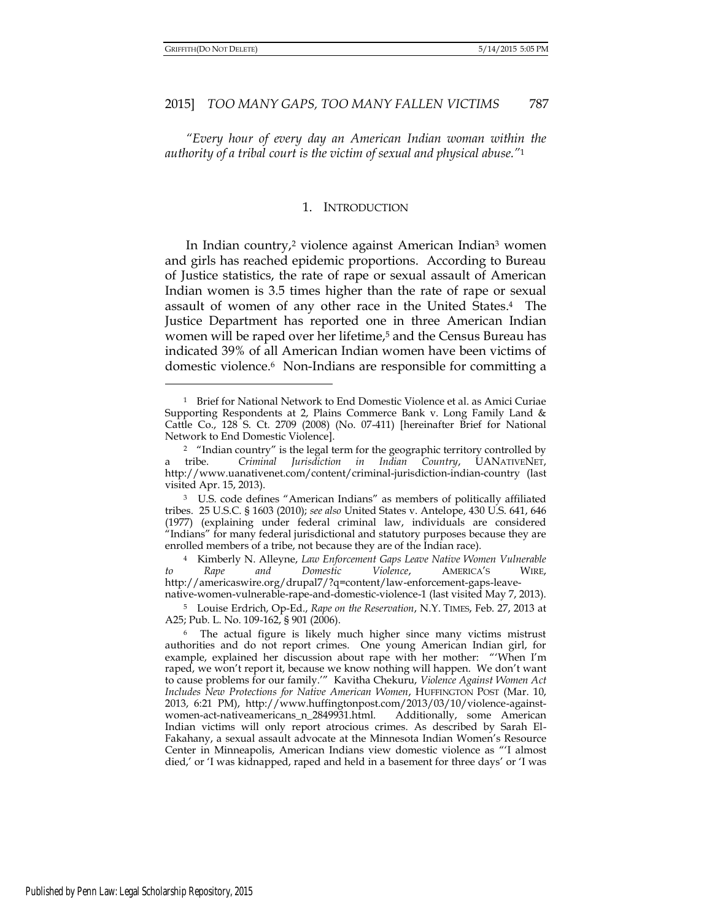#### 2015] *TOO MANY GAPS, TOO MANY FALLEN VICTIMS* 787

*"Every hour of every day an American Indian woman within the authority of a tribal court is the victim of sexual and physical abuse."*<sup>1</sup>

#### 1. INTRODUCTION

In Indian country,2 violence against American Indian3 women and girls has reached epidemic proportions. According to Bureau of Justice statistics, the rate of rape or sexual assault of American Indian women is 3.5 times higher than the rate of rape or sexual assault of women of any other race in the United States.4 The Justice Department has reported one in three American Indian women will be raped over her lifetime,<sup>5</sup> and the Census Bureau has indicated 39% of all American Indian women have been victims of domestic violence.6 Non-Indians are responsible for committing a

<sup>1</sup> Brief for National Network to End Domestic Violence et al. as Amici Curiae Supporting Respondents at 2, Plains Commerce Bank v. Long Family Land & Cattle Co., 128 S. Ct. 2709 (2008) (No. 07-411) [hereinafter Brief for National Network to End Domestic Violence].

<sup>&</sup>lt;sup>2</sup> "Indian country" is the legal term for the geographic territory controlled by a tribe. *Criminal Jurisdiction in Indian Country*, UANATIVENET, http://www.uanativenet.com/content/criminal-jurisdiction-indian-country (last visited Apr. 15, 2013).

<sup>3</sup> U.S. code defines "American Indians" as members of politically affiliated tribes. 25 U.S.C. § 1603 (2010); *see also* United States v. Antelope, 430 U.S. 641, 646 (1977) (explaining under federal criminal law, individuals are considered "Indians" for many federal jurisdictional and statutory purposes because they are enrolled members of a tribe, not because they are of the Indian race).

<sup>4</sup> Kimberly N. Alleyne, *Law Enforcement Gaps Leave Native Women Vulnerable to Rape and Domestic Violence*, AMERICA'S WIRE, http://americaswire.org/drupal7/?q=content/law-enforcement-gaps-leavenative-women-vulnerable-rape-and-domestic-violence-1 (last visited May 7, 2013).

<sup>5</sup> Louise Erdrich, Op-Ed., *Rape on the Reservation*, N.Y. TIMES, Feb. 27, 2013 at A25; Pub. L. No. 109-162, § 901 (2006).

<sup>&</sup>lt;sup>6</sup> The actual figure is likely much higher since many victims mistrust authorities and do not report crimes. One young American Indian girl, for example, explained her discussion about rape with her mother: "'When I'm raped, we won't report it, because we know nothing will happen. We don't want to cause problems for our family.'" Kavitha Chekuru, *Violence Against Women Act Includes New Protections for Native American Women*, HUFFINGTON POST (Mar. 10, 2013, 6:21 PM), http://www.huffingtonpost.com/2013/03/10/violence-againstwomen-act-nativeamericans\_n\_2849931.html. Additionally, some American Indian victims will only report atrocious crimes. As described by Sarah El-Fakahany, a sexual assault advocate at the Minnesota Indian Women's Resource Center in Minneapolis, American Indians view domestic violence as "'I almost died,' or 'I was kidnapped, raped and held in a basement for three days' or 'I was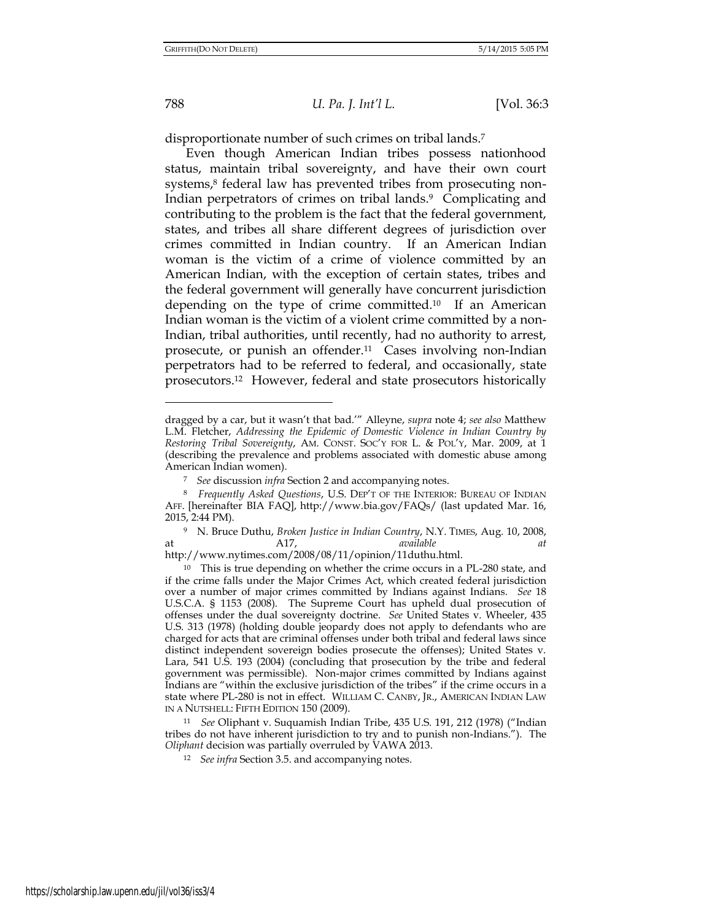788 *U. Pa. J. Int'l L.* [Vol. 36:3

disproportionate number of such crimes on tribal lands.<sup>7</sup>

Even though American Indian tribes possess nationhood status, maintain tribal sovereignty, and have their own court systems,<sup>8</sup> federal law has prevented tribes from prosecuting non-Indian perpetrators of crimes on tribal lands.<sup>9</sup> Complicating and contributing to the problem is the fact that the federal government, states, and tribes all share different degrees of jurisdiction over crimes committed in Indian country. If an American Indian woman is the victim of a crime of violence committed by an American Indian, with the exception of certain states, tribes and the federal government will generally have concurrent jurisdiction depending on the type of crime committed.10 If an American Indian woman is the victim of a violent crime committed by a non-Indian, tribal authorities, until recently, had no authority to arrest, prosecute, or punish an offender.11 Cases involving non-Indian perpetrators had to be referred to federal, and occasionally, state prosecutors.12 However, federal and state prosecutors historically

dragged by a car, but it wasn't that bad.'" Alleyne, *supra* note 4; *see also* Matthew L.M. Fletcher, *Addressing the Epidemic of Domestic Violence in Indian Country by Restoring Tribal Sovereignty*, AM. CONST. SOC'Y FOR L. & POL'Y, Mar. 2009, at 1 (describing the prevalence and problems associated with domestic abuse among American Indian women).

<sup>7</sup> *See* discussion *infra* Section 2 and accompanying notes.

<sup>8</sup> *Frequently Asked Questions*, U.S. DEP'T OF THE INTERIOR: BUREAU OF INDIAN AFF. [hereinafter BIA FAQ], http://www.bia.gov/FAQs/ (last updated Mar. 16, 2015, 2:44 PM).

<sup>9</sup> N. Bruce Duthu, *Broken Justice in Indian Country*, N.Y. TIMES, Aug. 10, 2008, at A17, *available at* 

http://www.nytimes.com/2008/08/11/opinion/11duthu.html.

<sup>10</sup> This is true depending on whether the crime occurs in a PL-280 state, and if the crime falls under the Major Crimes Act, which created federal jurisdiction over a number of major crimes committed by Indians against Indians. *See* 18 U.S.C.A. § 1153 (2008). The Supreme Court has upheld dual prosecution of offenses under the dual sovereignty doctrine. *See* United States v. Wheeler, 435 U.S. 313 (1978) (holding double jeopardy does not apply to defendants who are charged for acts that are criminal offenses under both tribal and federal laws since distinct independent sovereign bodies prosecute the offenses); United States v. Lara, 541 U.S. 193 (2004) (concluding that prosecution by the tribe and federal government was permissible). Non-major crimes committed by Indians against Indians are "within the exclusive jurisdiction of the tribes" if the crime occurs in a state where PL-280 is not in effect. WILLIAM C. CANBY, JR., AMERICAN INDIAN LAW IN A NUTSHELL: FIFTH EDITION 150 (2009).

<sup>11</sup> *See* Oliphant v. Suquamish Indian Tribe, 435 U.S. 191, 212 (1978) ("Indian tribes do not have inherent jurisdiction to try and to punish non-Indians."). The *Oliphant* decision was partially overruled by VAWA 2013.

<sup>12</sup> *See infra* Section 3.5. and accompanying notes.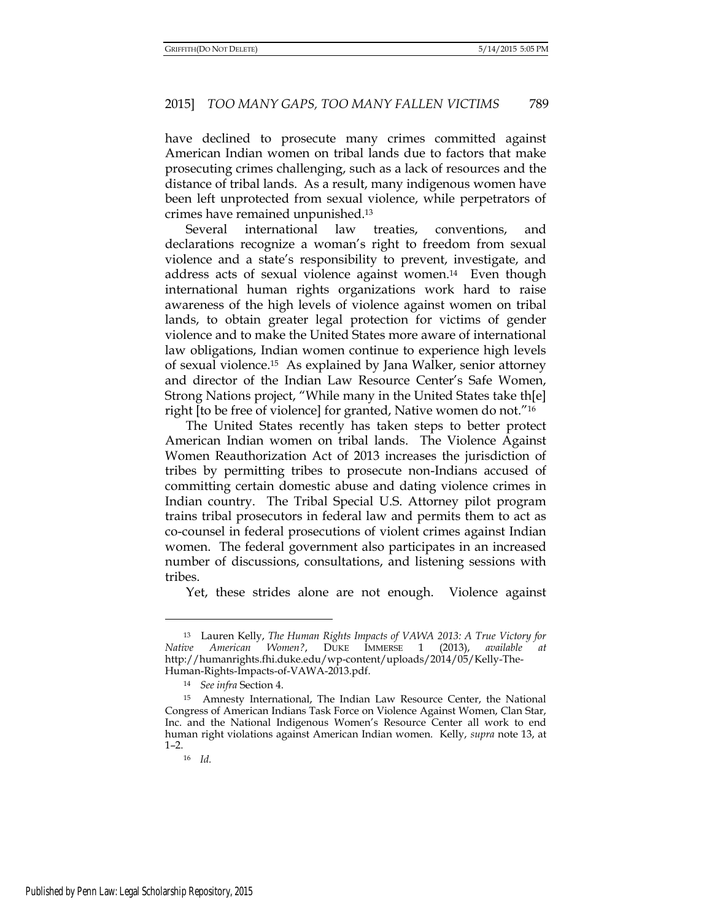have declined to prosecute many crimes committed against American Indian women on tribal lands due to factors that make prosecuting crimes challenging, such as a lack of resources and the distance of tribal lands. As a result, many indigenous women have been left unprotected from sexual violence, while perpetrators of crimes have remained unpunished.<sup>13</sup>

Several international law treaties, conventions, and declarations recognize a woman's right to freedom from sexual violence and a state's responsibility to prevent, investigate, and address acts of sexual violence against women.14 Even though international human rights organizations work hard to raise awareness of the high levels of violence against women on tribal lands, to obtain greater legal protection for victims of gender violence and to make the United States more aware of international law obligations, Indian women continue to experience high levels of sexual violence.15 As explained by Jana Walker, senior attorney and director of the Indian Law Resource Center's Safe Women, Strong Nations project, "While many in the United States take th[e] right [to be free of violence] for granted, Native women do not."<sup>16</sup>

The United States recently has taken steps to better protect American Indian women on tribal lands. The Violence Against Women Reauthorization Act of 2013 increases the jurisdiction of tribes by permitting tribes to prosecute non-Indians accused of committing certain domestic abuse and dating violence crimes in Indian country. The Tribal Special U.S. Attorney pilot program trains tribal prosecutors in federal law and permits them to act as co-counsel in federal prosecutions of violent crimes against Indian women. The federal government also participates in an increased number of discussions, consultations, and listening sessions with tribes.

Yet, these strides alone are not enough. Violence against

<sup>13</sup> Lauren Kelly, *The Human Rights Impacts of VAWA 2013: A True Victory for Native American Women?*, DUKE IMMERSE 1 (2013), *available* http://humanrights.fhi.duke.edu/wp-content/uploads/2014/05/Kelly-The-Human-Rights-Impacts-of-VAWA-2013.pdf.

<sup>14</sup> *See infra* Section 4.

<sup>15</sup> Amnesty International, The Indian Law Resource Center, the National Congress of American Indians Task Force on Violence Against Women, Clan Star, Inc. and the National Indigenous Women's Resource Center all work to end human right violations against American Indian women. Kelly, *supra* note 13, at 1–2.

<sup>16</sup> *Id.*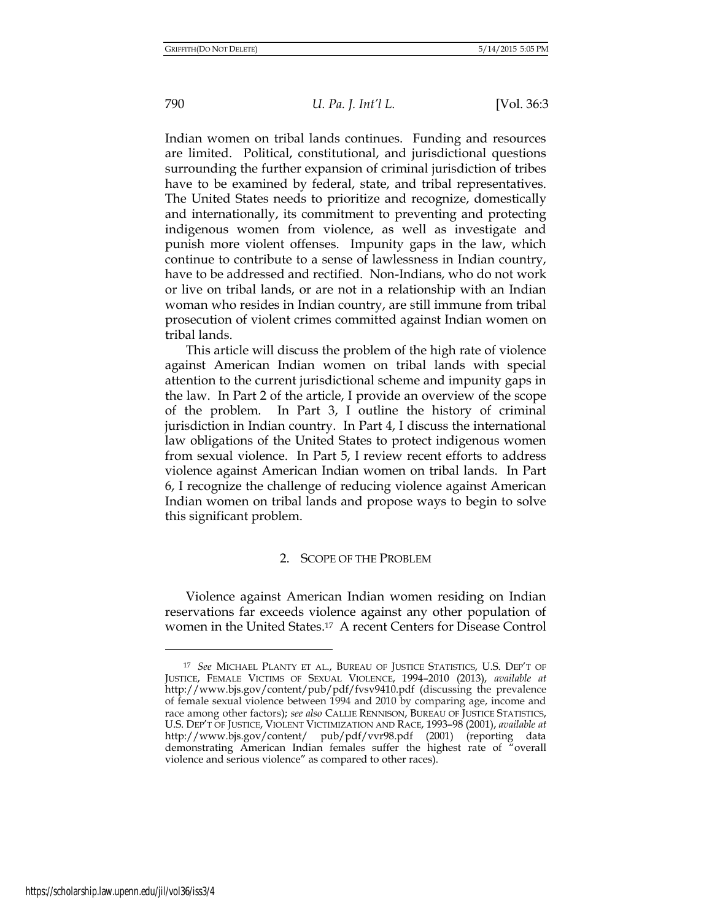Indian women on tribal lands continues. Funding and resources are limited. Political, constitutional, and jurisdictional questions surrounding the further expansion of criminal jurisdiction of tribes have to be examined by federal, state, and tribal representatives. The United States needs to prioritize and recognize, domestically and internationally, its commitment to preventing and protecting indigenous women from violence, as well as investigate and punish more violent offenses. Impunity gaps in the law, which continue to contribute to a sense of lawlessness in Indian country, have to be addressed and rectified. Non-Indians, who do not work or live on tribal lands, or are not in a relationship with an Indian woman who resides in Indian country, are still immune from tribal prosecution of violent crimes committed against Indian women on tribal lands.

This article will discuss the problem of the high rate of violence against American Indian women on tribal lands with special attention to the current jurisdictional scheme and impunity gaps in the law. In Part 2 of the article, I provide an overview of the scope of the problem. In Part 3, I outline the history of criminal jurisdiction in Indian country. In Part 4, I discuss the international law obligations of the United States to protect indigenous women from sexual violence. In Part 5, I review recent efforts to address violence against American Indian women on tribal lands. In Part 6, I recognize the challenge of reducing violence against American Indian women on tribal lands and propose ways to begin to solve this significant problem.

#### 2. SCOPE OF THE PROBLEM

Violence against American Indian women residing on Indian reservations far exceeds violence against any other population of women in the United States.17 A recent Centers for Disease Control

<sup>17</sup> *See* MICHAEL PLANTY ET AL., BUREAU OF JUSTICE STATISTICS, U.S. DEP'T OF JUSTICE, FEMALE VICTIMS OF SEXUAL VIOLENCE, 1994–2010 (2013), *available at* http://www.bjs.gov/content/pub/pdf/fvsv9410.pdf (discussing the prevalence of female sexual violence between 1994 and 2010 by comparing age, income and race among other factors); *see also* CALLIE RENNISON, BUREAU OF JUSTICE STATISTICS, U.S. DEP'T OF JUSTICE, VIOLENT VICTIMIZATION AND RACE, 1993–98 (2001), *available at* http://www.bjs.gov/content/ pub/pdf/vvr98.pdf (2001) (reporting data demonstrating American Indian females suffer the highest rate of "overall violence and serious violence" as compared to other races).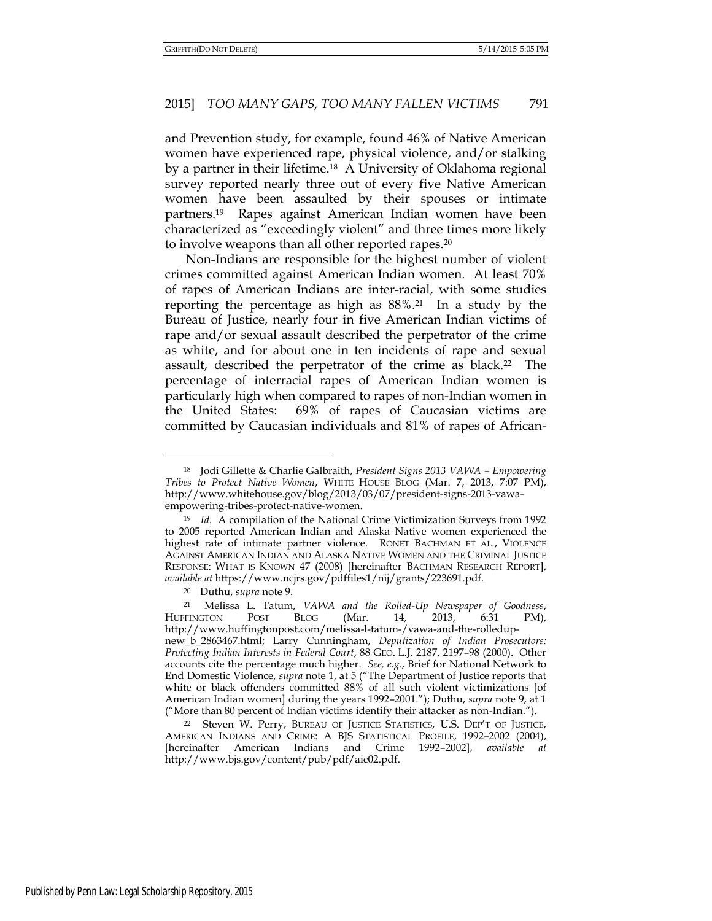and Prevention study, for example, found 46% of Native American women have experienced rape, physical violence, and/or stalking by a partner in their lifetime.18 A University of Oklahoma regional survey reported nearly three out of every five Native American women have been assaulted by their spouses or intimate partners.19 Rapes against American Indian women have been characterized as "exceedingly violent" and three times more likely to involve weapons than all other reported rapes.<sup>20</sup>

Non-Indians are responsible for the highest number of violent crimes committed against American Indian women. At least 70% of rapes of American Indians are inter-racial, with some studies reporting the percentage as high as  $88\%$ .<sup>21</sup> In a study by the Bureau of Justice, nearly four in five American Indian victims of rape and/or sexual assault described the perpetrator of the crime as white, and for about one in ten incidents of rape and sexual assault, described the perpetrator of the crime as black.<sup>22</sup> The percentage of interracial rapes of American Indian women is particularly high when compared to rapes of non-Indian women in the United States: 69% of rapes of Caucasian victims are committed by Caucasian individuals and 81% of rapes of African-

<sup>20</sup> Duthu, *supra* note 9.

<sup>18</sup> Jodi Gillette & Charlie Galbraith, *President Signs 2013 VAWA – Empowering Tribes to Protect Native Women*, WHITE HOUSE BLOG (Mar. 7, 2013, 7:07 PM), http://www.whitehouse.gov/blog/2013/03/07/president-signs-2013-vawaempowering-tribes-protect-native-women.

<sup>&</sup>lt;sup>19</sup> *Id.* A compilation of the National Crime Victimization Surveys from 1992 to 2005 reported American Indian and Alaska Native women experienced the highest rate of intimate partner violence. RONET BACHMAN ET AL., VIOLENCE AGAINST AMERICAN INDIAN AND ALASKA NATIVE WOMEN AND THE CRIMINAL JUSTICE RESPONSE: WHAT IS KNOWN 47 (2008) [hereinafter BACHMAN RESEARCH REPORT], *available at* https://www.ncjrs.gov/pdffiles1/nij/grants/223691.pdf.

<sup>21</sup> Melissa L. Tatum, *VAWA and the Rolled-Up Newspaper of Goodness*, HUFFINGTON POST BLOG (Mar. 14, 2013, 6:31 PM), http://www.huffingtonpost.com/melissa-l-tatum-/vawa-and-the-rolledupnew\_b\_2863467.html; Larry Cunningham, *Deputization of Indian Prosecutors: Protecting Indian Interests in Federal Court*, 88 GEO. L.J. 2187, 2197–98 (2000). Other accounts cite the percentage much higher. *See, e.g.*, Brief for National Network to End Domestic Violence, *supra* note 1, at 5 ("The Department of Justice reports that white or black offenders committed 88% of all such violent victimizations [of American Indian women] during the years 1992–2001."); Duthu, *supra* note 9, at 1 ("More than 80 percent of Indian victims identify their attacker as non-Indian.").

<sup>22</sup> Steven W. Perry, BUREAU OF JUSTICE STATISTICS, U.S. DEP'T OF JUSTICE, AMERICAN INDIANS AND CRIME: A BJS STATISTICAL PROFILE, 1992–2002 (2004), [hereinafter American Indians and Crime 1992-2002], available http://www.bjs.gov/content/pub/pdf/aic02.pdf.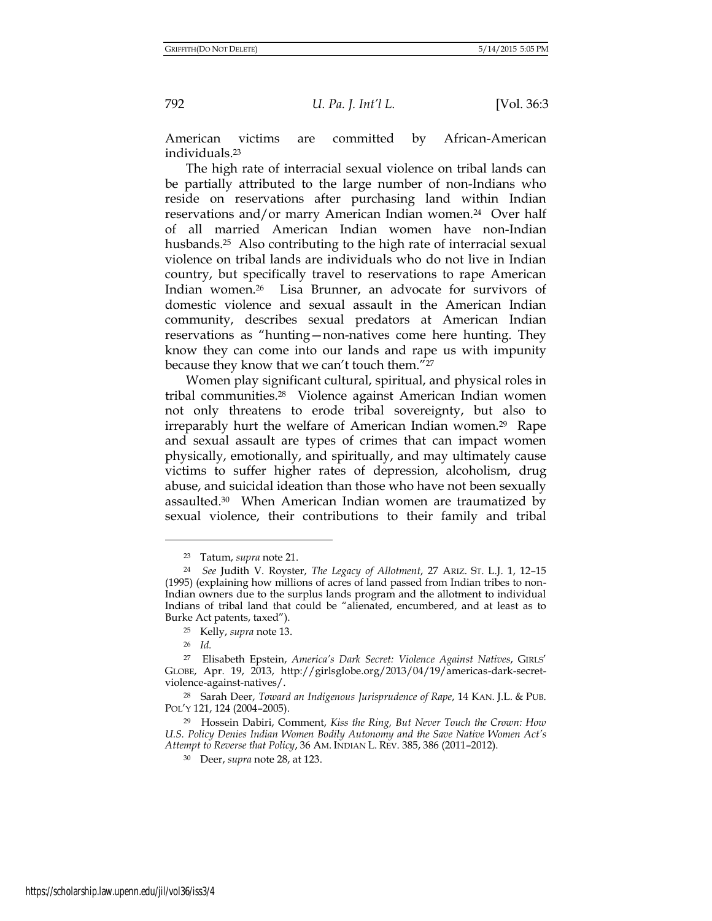American victims are committed by African-American individuals.<sup>23</sup>

The high rate of interracial sexual violence on tribal lands can be partially attributed to the large number of non-Indians who reside on reservations after purchasing land within Indian reservations and/or marry American Indian women.<sup>24</sup> Over half of all married American Indian women have non-Indian husbands.<sup>25</sup> Also contributing to the high rate of interracial sexual violence on tribal lands are individuals who do not live in Indian country, but specifically travel to reservations to rape American Indian women.26 Lisa Brunner, an advocate for survivors of domestic violence and sexual assault in the American Indian community, describes sexual predators at American Indian reservations as "hunting—non-natives come here hunting. They know they can come into our lands and rape us with impunity because they know that we can't touch them."<sup>27</sup>

Women play significant cultural, spiritual, and physical roles in tribal communities.28 Violence against American Indian women not only threatens to erode tribal sovereignty, but also to irreparably hurt the welfare of American Indian women.29 Rape and sexual assault are types of crimes that can impact women physically, emotionally, and spiritually, and may ultimately cause victims to suffer higher rates of depression, alcoholism, drug abuse, and suicidal ideation than those who have not been sexually assaulted.30 When American Indian women are traumatized by sexual violence, their contributions to their family and tribal

<sup>23</sup> Tatum, *supra* note 21.

<sup>24</sup> *See* Judith V. Royster, *The Legacy of Allotment*, 27 ARIZ. ST. L.J. 1, 12–15 (1995) (explaining how millions of acres of land passed from Indian tribes to non-Indian owners due to the surplus lands program and the allotment to individual Indians of tribal land that could be "alienated, encumbered, and at least as to Burke Act patents, taxed").

<sup>25</sup> Kelly, *supra* note 13.

<sup>26</sup> *Id.* 

<sup>27</sup> Elisabeth Epstein, *America's Dark Secret: Violence Against Natives*, GIRLS' GLOBE, Apr. 19, 2013, http://girlsglobe.org/2013/04/19/americas-dark-secretviolence-against-natives/.

<sup>28</sup> Sarah Deer, *Toward an Indigenous Jurisprudence of Rape*, 14 KAN. J.L. & PUB. POL'Y 121, 124 (2004–2005).

<sup>29</sup> Hossein Dabiri, Comment, *Kiss the Ring, But Never Touch the Crown: How U.S. Policy Denies Indian Women Bodily Autonomy and the Save Native Women Act's Attempt to Reverse that Policy*, 36 AM. INDIAN L. REV. 385, 386 (2011–2012).

<sup>30</sup> Deer, *supra* note 28, at 123.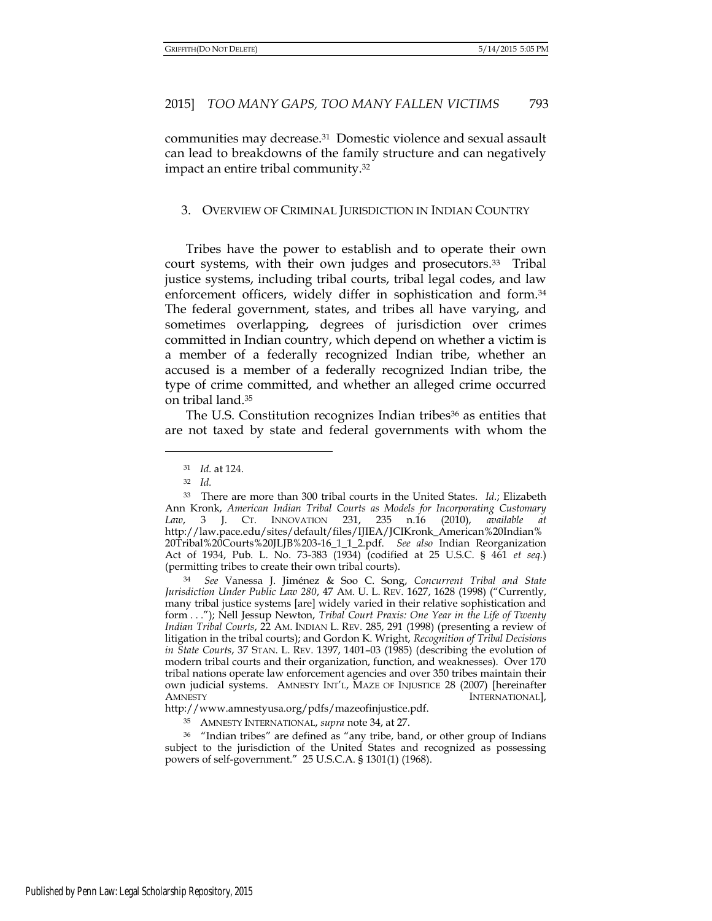communities may decrease.31 Domestic violence and sexual assault can lead to breakdowns of the family structure and can negatively impact an entire tribal community.<sup>32</sup>

#### 3. OVERVIEW OF CRIMINAL JURISDICTION IN INDIAN COUNTRY

Tribes have the power to establish and to operate their own court systems, with their own judges and prosecutors.<sup>33</sup> Tribal justice systems, including tribal courts, tribal legal codes, and law enforcement officers, widely differ in sophistication and form.<sup>34</sup> The federal government, states, and tribes all have varying, and sometimes overlapping, degrees of jurisdiction over crimes committed in Indian country, which depend on whether a victim is a member of a federally recognized Indian tribe, whether an accused is a member of a federally recognized Indian tribe, the type of crime committed, and whether an alleged crime occurred on tribal land.<sup>35</sup>

The U.S. Constitution recognizes Indian tribes<sup>36</sup> as entities that are not taxed by state and federal governments with whom the

 $\overline{a}$ 

<sup>34</sup> *See* Vanessa J. Jiménez & Soo C. Song, *Concurrent Tribal and State Jurisdiction Under Public Law 280*, 47 AM. U. L. REV. 1627, 1628 (1998) ("Currently, many tribal justice systems [are] widely varied in their relative sophistication and form . . ."); Nell Jessup Newton, *Tribal Court Praxis: One Year in the Life of Twenty Indian Tribal Courts*, 22 AM. INDIAN L. REV. 285, 291 (1998) (presenting a review of litigation in the tribal courts); and Gordon K. Wright, *Recognition of Tribal Decisions in State Courts*, 37 STAN. L. REV. 1397, 1401–03 (1985) (describing the evolution of modern tribal courts and their organization, function, and weaknesses). Over 170 tribal nations operate law enforcement agencies and over 350 tribes maintain their own judicial systems. AMNESTY INT'L, MAZE OF INJUSTICE 28 (2007) [hereinafter AMNESTY INTERNATIONAL],

http://www.amnestyusa.org/pdfs/mazeofinjustice.pdf.

<sup>31</sup> *Id.* at 124.

<sup>32</sup> *Id.* 

<sup>33</sup> There are more than 300 tribal courts in the United States. *Id.*; Elizabeth Ann Kronk, *American Indian Tribal Courts as Models for Incorporating Customary Law*, 3 J. CT. INNOVATION 231, 235 n.16 (2010), *available at* http://law.pace.edu/sites/default/files/IJIEA/JCIKronk\_American%20Indian% 20Tribal%20Courts%20JLJB%203-16\_1\_1\_2.pdf. *See also* Indian Reorganization Act of 1934, Pub. L. No. 73-383 (1934) (codified at 25 U.S.C. § 461 *et seq.*) (permitting tribes to create their own tribal courts).

<sup>35</sup> AMNESTY INTERNATIONAL, *supra* note 34, at 27.

<sup>36</sup> "Indian tribes" are defined as "any tribe, band, or other group of Indians subject to the jurisdiction of the United States and recognized as possessing powers of self-government." 25 U.S.C.A. § 1301(1) (1968).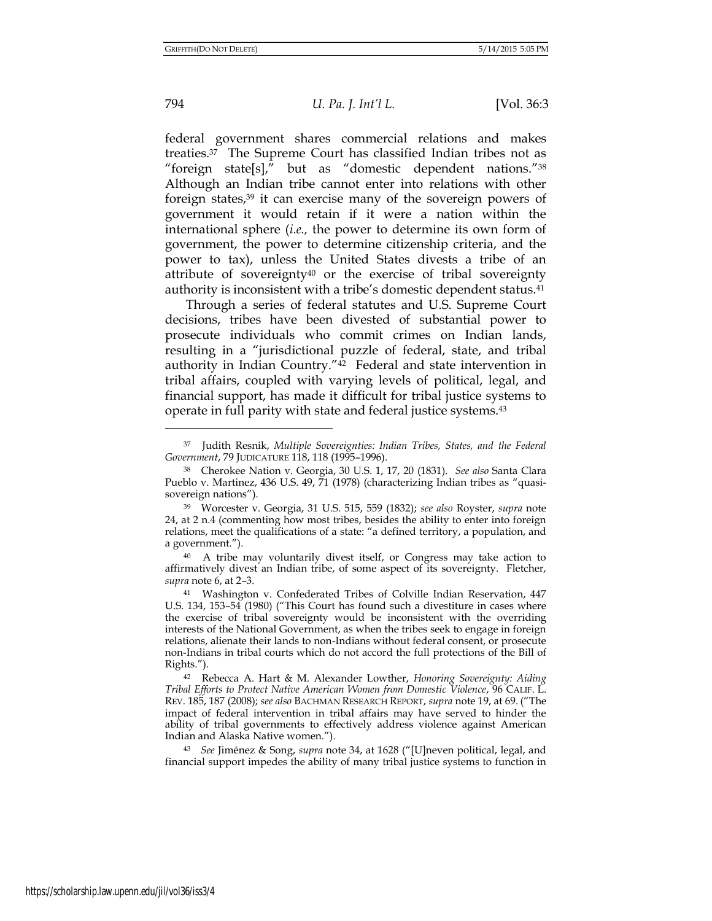794 *U. Pa. J. Int'l L.* [Vol. 36:3

federal government shares commercial relations and makes treaties.37 The Supreme Court has classified Indian tribes not as "foreign state[s]," but as "domestic dependent nations."<sup>38</sup> Although an Indian tribe cannot enter into relations with other foreign states,39 it can exercise many of the sovereign powers of government it would retain if it were a nation within the international sphere (*i.e.,* the power to determine its own form of government, the power to determine citizenship criteria, and the power to tax), unless the United States divests a tribe of an attribute of sovereignty40 or the exercise of tribal sovereignty authority is inconsistent with a tribe's domestic dependent status.<sup>41</sup>

Through a series of federal statutes and U.S. Supreme Court decisions, tribes have been divested of substantial power to prosecute individuals who commit crimes on Indian lands, resulting in a "jurisdictional puzzle of federal, state, and tribal authority in Indian Country."42 Federal and state intervention in tribal affairs, coupled with varying levels of political, legal, and financial support, has made it difficult for tribal justice systems to operate in full parity with state and federal justice systems.<sup>43</sup>

<sup>37</sup> Judith Resnik, *Multiple Sovereignties: Indian Tribes, States, and the Federal Government*, 79 JUDICATURE 118, 118 (1995–1996).

<sup>38</sup> Cherokee Nation v. Georgia, 30 U.S. 1, 17, 20 (1831). *See also* Santa Clara Pueblo v. Martinez, 436 U.S. 49, 71 (1978) (characterizing Indian tribes as "quasisovereign nations").

<sup>39</sup> Worcester v. Georgia, 31 U.S. 515, 559 (1832); *see also* Royster, *supra* note 24, at 2 n.4 (commenting how most tribes, besides the ability to enter into foreign relations, meet the qualifications of a state: "a defined territory, a population, and a government.").

<sup>40</sup> A tribe may voluntarily divest itself, or Congress may take action to affirmatively divest an Indian tribe, of some aspect of its sovereignty. Fletcher, *supra* note 6, at 2–3.

<sup>41</sup> Washington v. Confederated Tribes of Colville Indian Reservation, 447 U.S. 134, 153–54 (1980) ("This Court has found such a divestiture in cases where the exercise of tribal sovereignty would be inconsistent with the overriding interests of the National Government, as when the tribes seek to engage in foreign relations, alienate their lands to non-Indians without federal consent, or prosecute non-Indians in tribal courts which do not accord the full protections of the Bill of Rights.").

<sup>42</sup> Rebecca A. Hart & M. Alexander Lowther, *Honoring Sovereignty: Aiding Tribal Efforts to Protect Native American Women from Domestic Violence*, 96 CALIF. L. REV. 185, 187 (2008); *see also* BACHMAN RESEARCH REPORT, *supra* note 19, at 69. ("The impact of federal intervention in tribal affairs may have served to hinder the ability of tribal governments to effectively address violence against American Indian and Alaska Native women.").

<sup>43</sup> *See* Jiménez & Song, *supra* note 34, at 1628 ("[U]neven political, legal, and financial support impedes the ability of many tribal justice systems to function in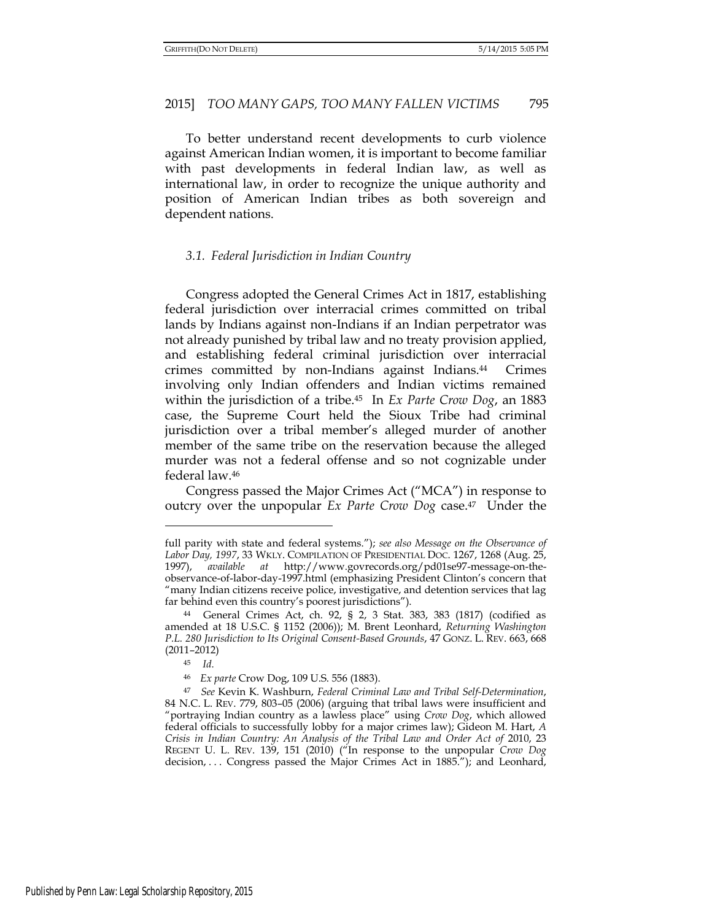To better understand recent developments to curb violence against American Indian women, it is important to become familiar with past developments in federal Indian law, as well as international law, in order to recognize the unique authority and position of American Indian tribes as both sovereign and dependent nations.

## *3.1. Federal Jurisdiction in Indian Country*

Congress adopted the General Crimes Act in 1817, establishing federal jurisdiction over interracial crimes committed on tribal lands by Indians against non-Indians if an Indian perpetrator was not already punished by tribal law and no treaty provision applied, and establishing federal criminal jurisdiction over interracial crimes committed by non-Indians against Indians.44 Crimes involving only Indian offenders and Indian victims remained within the jurisdiction of a tribe.45 In *Ex Parte Crow Dog*, an 1883 case, the Supreme Court held the Sioux Tribe had criminal jurisdiction over a tribal member's alleged murder of another member of the same tribe on the reservation because the alleged murder was not a federal offense and so not cognizable under federal law.<sup>46</sup>

Congress passed the Major Crimes Act ("MCA") in response to outcry over the unpopular *Ex Parte Crow Dog* case.47 Under the

full parity with state and federal systems."); *see also Message on the Observance of Labor Day, 1997*, 33 WKLY. COMPILATION OF PRESIDENTIAL DOC. 1267, 1268 (Aug. 25, 1997), *available at* http://www.govrecords.org/pd01se97-message-on-theobservance-of-labor-day-1997.html (emphasizing President Clinton's concern that "many Indian citizens receive police, investigative, and detention services that lag far behind even this country's poorest jurisdictions").

<sup>44</sup> General Crimes Act, ch. 92, § 2, 3 Stat. 383, 383 (1817) (codified as amended at 18 U.S.C. § 1152 (2006)); M. Brent Leonhard, *Returning Washington P.L. 280 Jurisdiction to Its Original Consent-Based Grounds*, 47 GONZ. L. REV. 663, 668 (2011–2012)

<sup>45</sup> *Id.* 

<sup>46</sup> *Ex parte* Crow Dog, 109 U.S. 556 (1883).

<sup>47</sup> *See* Kevin K. Washburn, *Federal Criminal Law and Tribal Self-Determination*, 84 N.C. L. REV. 779, 803–05 (2006) (arguing that tribal laws were insufficient and "portraying Indian country as a lawless place" using *Crow Dog*, which allowed federal officials to successfully lobby for a major crimes law); Gideon M. Hart, *A Crisis in Indian Country: An Analysis of the Tribal Law and Order Act of 2010, 23* REGENT U. L. REV. 139, 151 (2010) ("In response to the unpopular *Crow Dog*  decision, ... Congress passed the Major Crimes Act in 1885."); and Leonhard,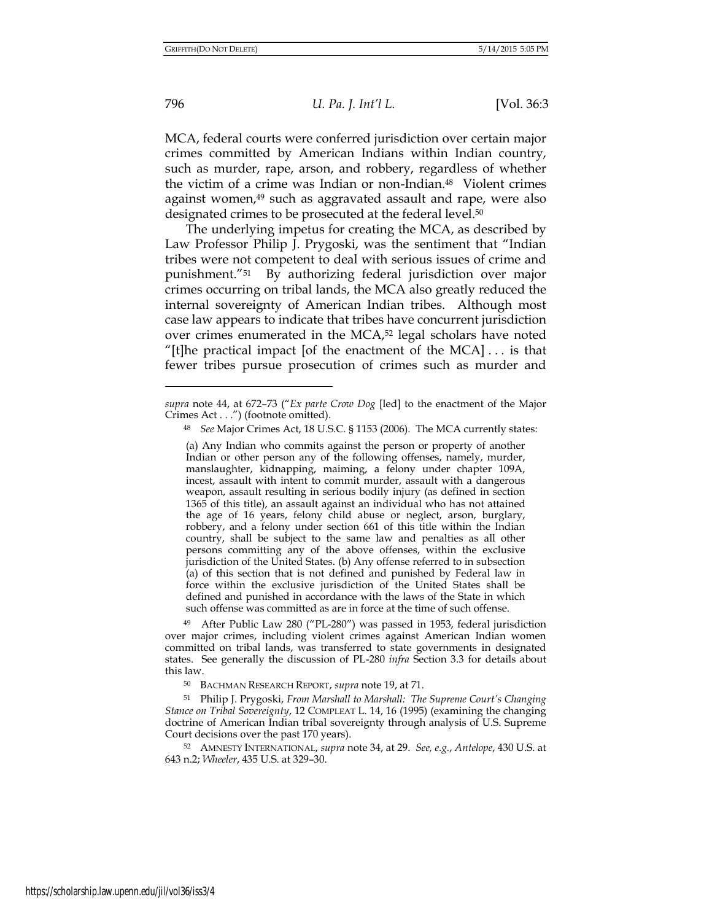796 *U. Pa. J. Int'l L.* [Vol. 36:3

MCA, federal courts were conferred jurisdiction over certain major crimes committed by American Indians within Indian country, such as murder, rape, arson, and robbery, regardless of whether the victim of a crime was Indian or non-Indian.48 Violent crimes against women,<sup>49</sup> such as aggravated assault and rape, were also designated crimes to be prosecuted at the federal level.<sup>50</sup>

The underlying impetus for creating the MCA, as described by Law Professor Philip J. Prygoski, was the sentiment that "Indian tribes were not competent to deal with serious issues of crime and punishment."51 By authorizing federal jurisdiction over major crimes occurring on tribal lands, the MCA also greatly reduced the internal sovereignty of American Indian tribes. Although most case law appears to indicate that tribes have concurrent jurisdiction over crimes enumerated in the MCA,52 legal scholars have noted "[t]he practical impact [of the enactment of the  $MCA$ ]... is that fewer tribes pursue prosecution of crimes such as murder and

<sup>49</sup> After Public Law 280 ("PL-280") was passed in 1953, federal jurisdiction over major crimes, including violent crimes against American Indian women committed on tribal lands, was transferred to state governments in designated states. See generally the discussion of PL-280 *infra* Section 3.3 for details about this law.

<sup>50</sup> BACHMAN RESEARCH REPORT, *supra* note 19, at 71.

<sup>51</sup> Philip J. Prygoski, *From Marshall to Marshall: The Supreme Court's Changing Stance on Tribal Sovereignty*, 12 COMPLEAT L. 14, 16 (1995) (examining the changing doctrine of American Indian tribal sovereignty through analysis of U.S. Supreme Court decisions over the past 170 years).

<sup>52</sup> AMNESTY INTERNATIONAL, *supra* note 34, at 29. *See, e.g.*, *Antelope*, 430 U.S. at 643 n.2; *Wheeler*, 435 U.S. at 329–30.

*supra* note 44, at 672–73 ("*Ex parte Crow Dog* [led] to the enactment of the Major Crimes Act . . .") (footnote omitted).

<sup>48</sup> *See* Major Crimes Act, 18 U.S.C. § 1153 (2006). The MCA currently states:

<sup>(</sup>a) Any Indian who commits against the person or property of another Indian or other person any of the following offenses, namely, murder, manslaughter, kidnapping, maiming, a felony under chapter 109A, incest, assault with intent to commit murder, assault with a dangerous weapon, assault resulting in serious bodily injury (as defined in section 1365 of this title), an assault against an individual who has not attained the age of 16 years, felony child abuse or neglect, arson, burglary, robbery, and a felony under section 661 of this title within the Indian country, shall be subject to the same law and penalties as all other persons committing any of the above offenses, within the exclusive jurisdiction of the United States. (b) Any offense referred to in subsection (a) of this section that is not defined and punished by Federal law in force within the exclusive jurisdiction of the United States shall be defined and punished in accordance with the laws of the State in which such offense was committed as are in force at the time of such offense.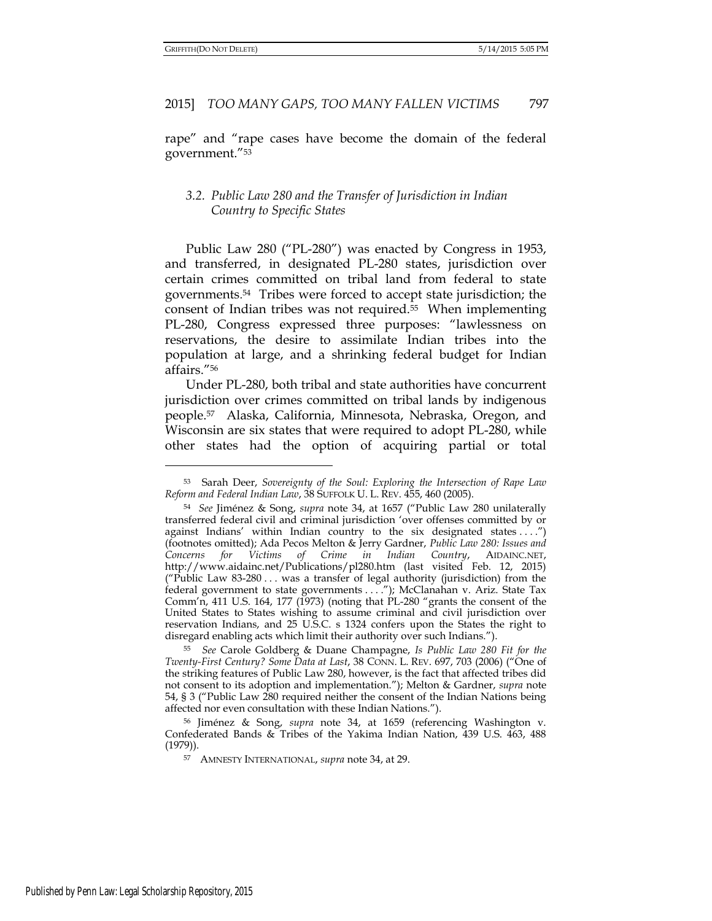rape" and "rape cases have become the domain of the federal government."<sup>53</sup>

# *3.2. Public Law 280 and the Transfer of Jurisdiction in Indian Country to Specific States*

Public Law 280 ("PL-280") was enacted by Congress in 1953, and transferred, in designated PL-280 states, jurisdiction over certain crimes committed on tribal land from federal to state governments. <sup>54</sup> Tribes were forced to accept state jurisdiction; the consent of Indian tribes was not required.55 When implementing PL-280, Congress expressed three purposes: "lawlessness on reservations, the desire to assimilate Indian tribes into the population at large, and a shrinking federal budget for Indian affairs."<sup>56</sup>

Under PL-280, both tribal and state authorities have concurrent jurisdiction over crimes committed on tribal lands by indigenous people.57 Alaska, California, Minnesota, Nebraska, Oregon, and Wisconsin are six states that were required to adopt PL-280, while other states had the option of acquiring partial or total

<sup>53</sup> Sarah Deer, *Sovereignty of the Soul: Exploring the Intersection of Rape Law Reform and Federal Indian Law*, 38 SUFFOLK U. L. REV. 455, 460 (2005).

<sup>54</sup> *See* Jiménez & Song, *supra* note 34, at 1657 ("Public Law 280 unilaterally transferred federal civil and criminal jurisdiction 'over offenses committed by or against Indians' within Indian country to the six designated states ....") (footnotes omitted); Ada Pecos Melton & Jerry Gardner, *Public Law 280: Issues and Concerns for Victims of Crime in Indian Country*, AIDAINC.NET, http://www.aidainc.net/Publications/pl280.htm (last visited Feb. 12, 2015) ("Public Law 83-280 . . . was a transfer of legal authority (jurisdiction) from the federal government to state governments . . . ."); McClanahan v. Ariz. State Tax Comm'n, 411 U.S. 164, 177 (1973) (noting that PL-280 "grants the consent of the United States to States wishing to assume criminal and civil jurisdiction over reservation Indians, and 25 U.S.C. s 1324 confers upon the States the right to disregard enabling acts which limit their authority over such Indians.").

<sup>55</sup> *See* Carole Goldberg & Duane Champagne, *Is Public Law 280 Fit for the Twenty-First Century? Some Data at Last*, 38 CONN. L. REV. 697, 703 (2006) ("One of the striking features of Public Law 280, however, is the fact that affected tribes did not consent to its adoption and implementation."); Melton & Gardner, *supra* note 54, § 3 ("Public Law 280 required neither the consent of the Indian Nations being affected nor even consultation with these Indian Nations.").

<sup>56</sup> Jiménez & Song, *supra* note 34, at 1659 (referencing Washington v. Confederated Bands & Tribes of the Yakima Indian Nation, 439 U.S. 463, 488 (1979)).

<sup>57</sup> AMNESTY INTERNATIONAL, *supra* note 34, at 29.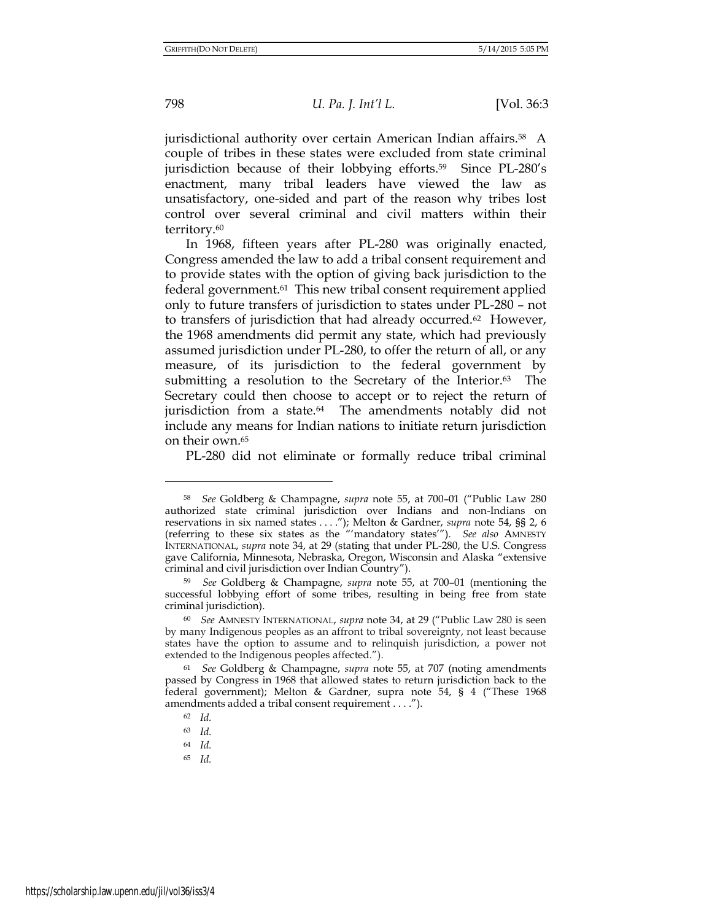jurisdictional authority over certain American Indian affairs.58 A couple of tribes in these states were excluded from state criminal jurisdiction because of their lobbying efforts.59 Since PL-280's enactment, many tribal leaders have viewed the law as unsatisfactory, one-sided and part of the reason why tribes lost control over several criminal and civil matters within their territory.<sup>60</sup>

In 1968, fifteen years after PL-280 was originally enacted, Congress amended the law to add a tribal consent requirement and to provide states with the option of giving back jurisdiction to the federal government.61 This new tribal consent requirement applied only to future transfers of jurisdiction to states under PL-280 – not to transfers of jurisdiction that had already occurred.62 However, the 1968 amendments did permit any state, which had previously assumed jurisdiction under PL-280, to offer the return of all, or any measure, of its jurisdiction to the federal government by submitting a resolution to the Secretary of the Interior.<sup>63</sup> The Secretary could then choose to accept or to reject the return of jurisdiction from a state.<sup>64</sup> The amendments notably did not include any means for Indian nations to initiate return jurisdiction on their own.<sup>65</sup>

PL-280 did not eliminate or formally reduce tribal criminal

<sup>58</sup> *See* Goldberg & Champagne, *supra* note 55, at 700–01 ("Public Law 280 authorized state criminal jurisdiction over Indians and non-Indians on reservations in six named states . . . ."); Melton & Gardner, *supra* note 54, §§ 2, 6 (referring to these six states as the "'mandatory states'"). *See also* AMNESTY INTERNATIONAL, *supra* note 34, at 29 (stating that under PL-280, the U.S. Congress gave California, Minnesota, Nebraska, Oregon, Wisconsin and Alaska "extensive criminal and civil jurisdiction over Indian Country").

<sup>59</sup> *See* Goldberg & Champagne, *supra* note 55, at 700–01 (mentioning the successful lobbying effort of some tribes, resulting in being free from state criminal jurisdiction).

<sup>60</sup> *See* AMNESTY INTERNATIONAL, *supra* note 34, at 29 ("Public Law 280 is seen by many Indigenous peoples as an affront to tribal sovereignty, not least because states have the option to assume and to relinquish jurisdiction, a power not extended to the Indigenous peoples affected.").

<sup>61</sup> *See* Goldberg & Champagne, *supra* note 55, at 707 (noting amendments passed by Congress in 1968 that allowed states to return jurisdiction back to the federal government); Melton & Gardner, supra note 54, § 4 ("These 1968 amendments added a tribal consent requirement . . . .").

<sup>62</sup> *Id.* 

<sup>63</sup> *Id.*

<sup>64</sup> *Id.*

<sup>65</sup> *Id.*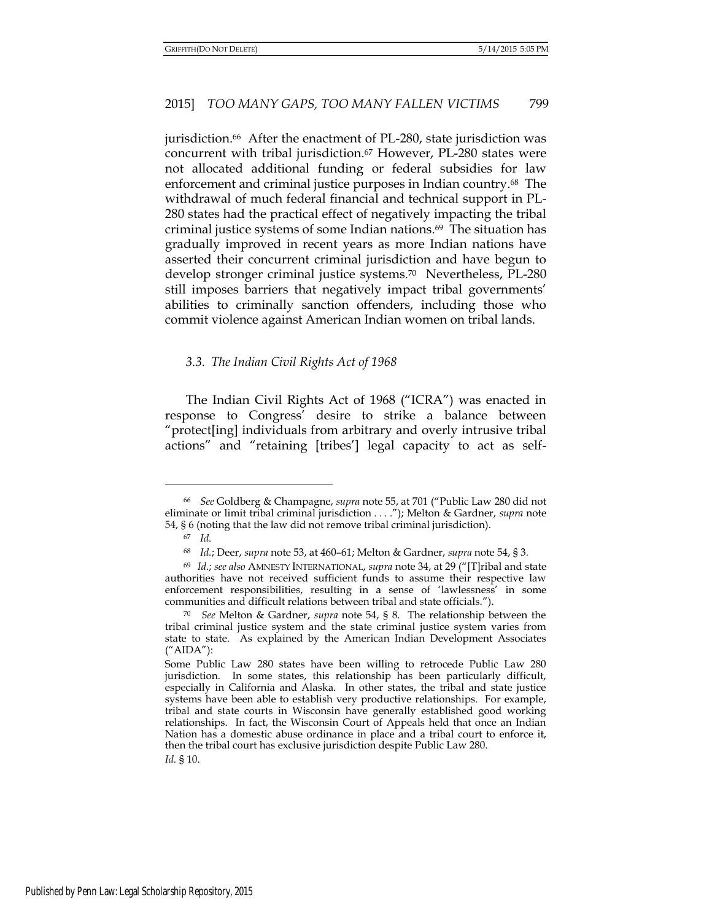jurisdiction.<sup>66</sup> After the enactment of PL-280, state jurisdiction was concurrent with tribal jurisdiction.<sup>67</sup> However, PL-280 states were not allocated additional funding or federal subsidies for law enforcement and criminal justice purposes in Indian country.<sup>68</sup> The withdrawal of much federal financial and technical support in PL-280 states had the practical effect of negatively impacting the tribal criminal justice systems of some Indian nations.69 The situation has gradually improved in recent years as more Indian nations have asserted their concurrent criminal jurisdiction and have begun to develop stronger criminal justice systems.70 Nevertheless, PL-280 still imposes barriers that negatively impact tribal governments' abilities to criminally sanction offenders, including those who commit violence against American Indian women on tribal lands.

#### *3.3. The Indian Civil Rights Act of 1968*

The Indian Civil Rights Act of 1968 ("ICRA") was enacted in response to Congress' desire to strike a balance between "protect[ing] individuals from arbitrary and overly intrusive tribal actions" and "retaining [tribes'] legal capacity to act as self-

<sup>66</sup> *See* Goldberg & Champagne, *supra* note 55, at 701 ("Public Law 280 did not eliminate or limit tribal criminal jurisdiction . . . ."); Melton & Gardner, *supra* note 54, § 6 (noting that the law did not remove tribal criminal jurisdiction).

<sup>67</sup> *Id.* 

<sup>68</sup> *Id.*; Deer, *supra* note 53, at 460–61; Melton & Gardner, *supra* note 54, § 3*.*

<sup>69</sup> *Id.*; *see also* AMNESTY INTERNATIONAL, *supra* note 34, at 29 ("[T]ribal and state authorities have not received sufficient funds to assume their respective law enforcement responsibilities, resulting in a sense of 'lawlessness' in some communities and difficult relations between tribal and state officials.").

<sup>70</sup> *See* Melton & Gardner, *supra* note 54, § 8. The relationship between the tribal criminal justice system and the state criminal justice system varies from state to state. As explained by the American Indian Development Associates ("AIDA"):

Some Public Law 280 states have been willing to retrocede Public Law 280 jurisdiction. In some states, this relationship has been particularly difficult, especially in California and Alaska. In other states, the tribal and state justice systems have been able to establish very productive relationships. For example, tribal and state courts in Wisconsin have generally established good working relationships. In fact, the Wisconsin Court of Appeals held that once an Indian Nation has a domestic abuse ordinance in place and a tribal court to enforce it, then the tribal court has exclusive jurisdiction despite Public Law 280. *Id.* § 10.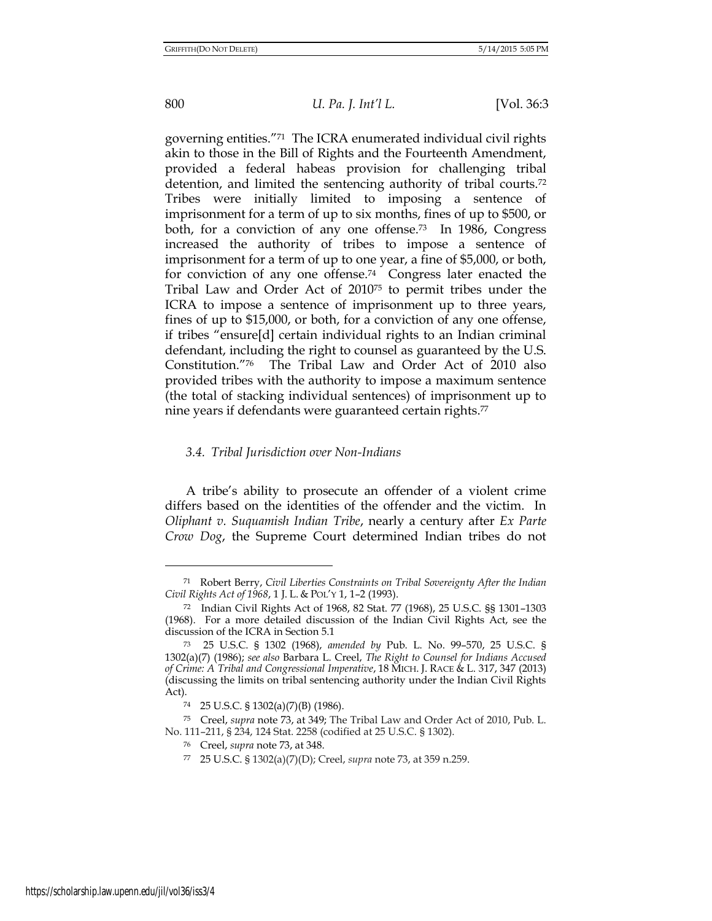# 800 *U. Pa. J. Int'l L.* [Vol. 36:3

governing entities."71 The ICRA enumerated individual civil rights akin to those in the Bill of Rights and the Fourteenth Amendment, provided a federal habeas provision for challenging tribal detention, and limited the sentencing authority of tribal courts.<sup>72</sup> Tribes were initially limited to imposing a sentence of imprisonment for a term of up to six months, fines of up to \$500, or both, for a conviction of any one offense.73 In 1986, Congress increased the authority of tribes to impose a sentence of imprisonment for a term of up to one year, a fine of \$5,000, or both, for conviction of any one offense.74 Congress later enacted the Tribal Law and Order Act of 201075 to permit tribes under the ICRA to impose a sentence of imprisonment up to three years, fines of up to \$15,000, or both, for a conviction of any one offense, if tribes "ensure[d] certain individual rights to an Indian criminal defendant, including the right to counsel as guaranteed by the U.S. Constitution."76 The Tribal Law and Order Act of 2010 also provided tribes with the authority to impose a maximum sentence (the total of stacking individual sentences) of imprisonment up to nine years if defendants were guaranteed certain rights.<sup>77</sup>

#### *3.4. Tribal Jurisdiction over Non-Indians*

A tribe's ability to prosecute an offender of a violent crime differs based on the identities of the offender and the victim. In *Oliphant v. Suquamish Indian Tribe*, nearly a century after *Ex Parte Crow Dog*, the Supreme Court determined Indian tribes do not

<sup>71</sup> Robert Berry, *Civil Liberties Constraints on Tribal Sovereignty After the Indian Civil Rights Act of 1968*, 1 J. L. & POL'Y 1, 1–2 (1993).

<sup>72</sup> Indian Civil Rights Act of 1968, 82 Stat. 77 (1968), 25 U.S.C. §§ 1301–1303 (1968). For a more detailed discussion of the Indian Civil Rights Act, see the discussion of the ICRA in Section 5.1

<sup>73</sup> 25 U.S.C. § 1302 (1968), *amended by* Pub. L. No. 99–570, 25 U.S.C. § 1302(a)(7) (1986); *see also* Barbara L. Creel, *The Right to Counsel for Indians Accused of Crime: A Tribal and Congressional Imperative*, 18 MICH. J. RACE & L. 317, 347 (2013) (discussing the limits on tribal sentencing authority under the Indian Civil Rights Act).

<sup>74</sup> 25 U.S.C. § 1302(a)(7)(B) (1986).

<sup>75</sup> Creel, *supra* note 73, at 349; The Tribal Law and Order Act of 2010, Pub. L. No. 111–211, § 234, 124 Stat. 2258 (codified at 25 U.S.C. § 1302).

<sup>76</sup> Creel, *supra* note 73, at 348.

<sup>77</sup> 25 U.S.C. § 1302(a)(7)(D); Creel, *supra* note 73, at 359 n.259.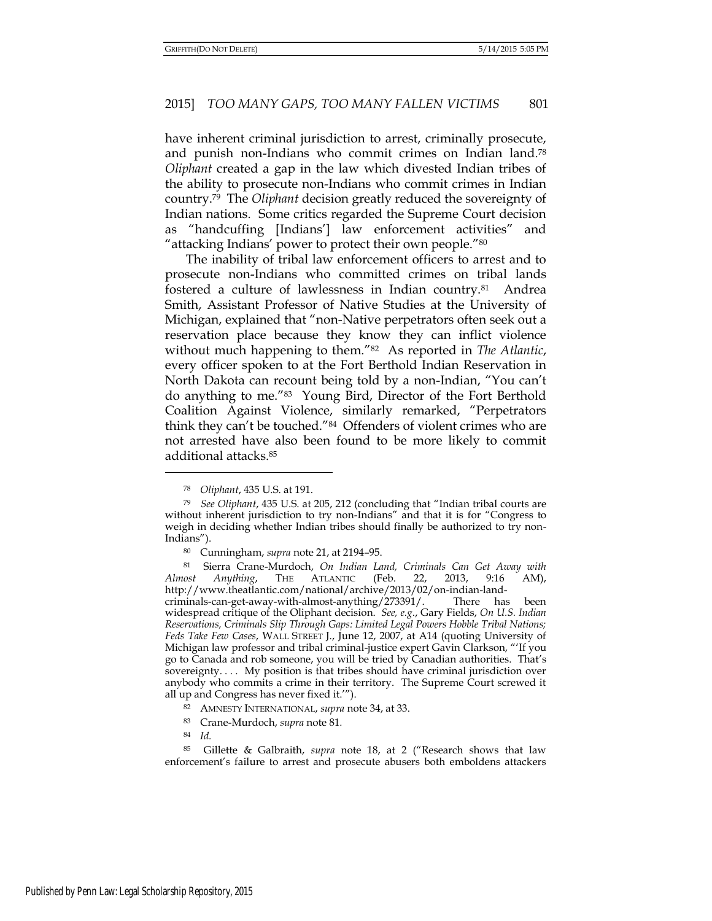have inherent criminal jurisdiction to arrest, criminally prosecute, and punish non-Indians who commit crimes on Indian land.<sup>78</sup> *Oliphant* created a gap in the law which divested Indian tribes of the ability to prosecute non-Indians who commit crimes in Indian country.79 The *Oliphant* decision greatly reduced the sovereignty of Indian nations. Some critics regarded the Supreme Court decision as "handcuffing [Indians'] law enforcement activities" and "attacking Indians' power to protect their own people."<sup>80</sup>

The inability of tribal law enforcement officers to arrest and to prosecute non-Indians who committed crimes on tribal lands fostered a culture of lawlessness in Indian country.81 Andrea Smith, Assistant Professor of Native Studies at the University of Michigan, explained that "non-Native perpetrators often seek out a reservation place because they know they can inflict violence without much happening to them."82 As reported in *The Atlantic*, every officer spoken to at the Fort Berthold Indian Reservation in North Dakota can recount being told by a non-Indian, "You can't do anything to me."83 Young Bird, Director of the Fort Berthold Coalition Against Violence, similarly remarked, "Perpetrators think they can't be touched."84 Offenders of violent crimes who are not arrested have also been found to be more likely to commit additional attacks.<sup>85</sup>

criminals-can-get-away-with-almost-anything/273391/. There has been widespread critique of the Oliphant decision. *See, e.g.*, Gary Fields, *On U.S. Indian Reservations, Criminals Slip Through Gaps: Limited Legal Powers Hobble Tribal Nations; Feds Take Few Cases*, WALL STREET J., June 12, 2007, at A14 (quoting University of Michigan law professor and tribal criminal-justice expert Gavin Clarkson, "'If you go to Canada and rob someone, you will be tried by Canadian authorities. That's sovereignty. . . . My position is that tribes should have criminal jurisdiction over anybody who commits a crime in their territory. The Supreme Court screwed it all up and Congress has never fixed it.'").

<sup>78</sup> *Oliphant*, 435 U.S. at 191.

<sup>79</sup> *See Oliphant*, 435 U.S. at 205, 212 (concluding that "Indian tribal courts are without inherent jurisdiction to try non-Indians" and that it is for "Congress to weigh in deciding whether Indian tribes should finally be authorized to try non-Indians").

<sup>80</sup> Cunningham, *supra* note 21, at 2194–95.

<sup>81</sup> Sierra Crane-Murdoch, *On Indian Land, Criminals Can Get Away with Almost Anything*, THE ATLANTIC (Feb. 22, 2013, 9:16 AM), http://www.theatlantic.com/national/archive/2013/02/on-indian-land-

<sup>82</sup> AMNESTY INTERNATIONAL, *supra* note 34, at 33.

<sup>83</sup> Crane-Murdoch, *supra* note 81*.*

<sup>84</sup> *Id.*

<sup>85</sup> Gillette & Galbraith, *supra* note 18, at 2 ("Research shows that law enforcement's failure to arrest and prosecute abusers both emboldens attackers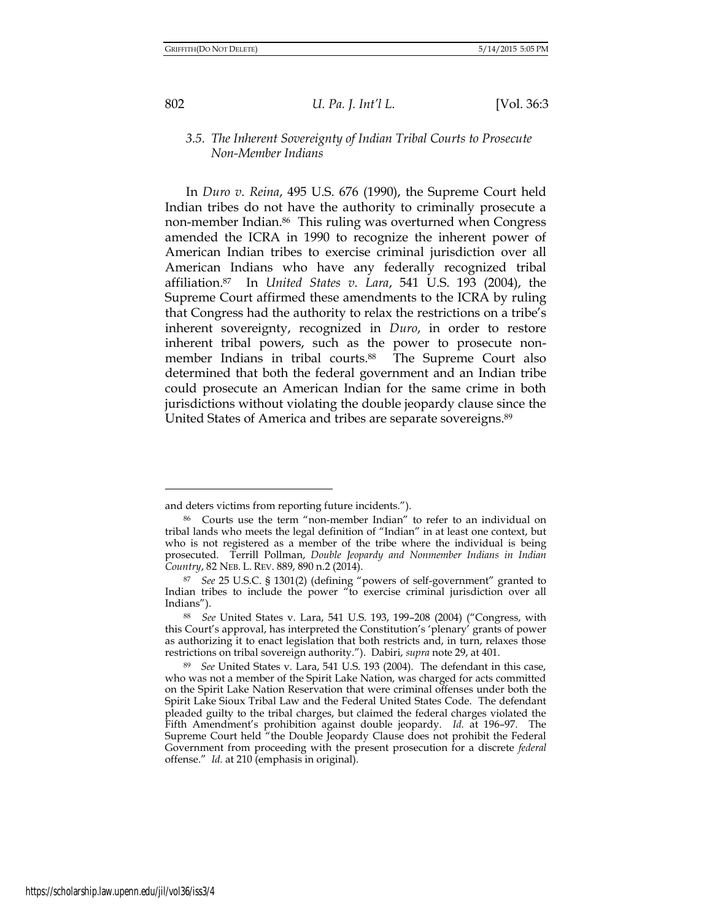# 802 *U. Pa. J. Int'l L.* [Vol. 36:3

## *3.5. The Inherent Sovereignty of Indian Tribal Courts to Prosecute Non-Member Indians*

In *Duro v. Reina*, 495 U.S. 676 (1990), the Supreme Court held Indian tribes do not have the authority to criminally prosecute a non-member Indian.86 This ruling was overturned when Congress amended the ICRA in 1990 to recognize the inherent power of American Indian tribes to exercise criminal jurisdiction over all American Indians who have any federally recognized tribal affiliation.87 In *United States v. Lara*, 541 U.S. 193 (2004), the Supreme Court affirmed these amendments to the ICRA by ruling that Congress had the authority to relax the restrictions on a tribe's inherent sovereignty, recognized in *Duro*, in order to restore inherent tribal powers, such as the power to prosecute nonmember Indians in tribal courts.<sup>88</sup> The Supreme Court also determined that both the federal government and an Indian tribe could prosecute an American Indian for the same crime in both jurisdictions without violating the double jeopardy clause since the United States of America and tribes are separate sovereigns.<sup>89</sup>

and deters victims from reporting future incidents.").

<sup>86</sup> Courts use the term "non-member Indian" to refer to an individual on tribal lands who meets the legal definition of "Indian" in at least one context, but who is not registered as a member of the tribe where the individual is being prosecuted. Terrill Pollman, *Double Jeopardy and Nonmember Indians in Indian Country*, 82 NEB. L. REV. 889, 890 n.2 (2014).

<sup>87</sup> *See* 25 U.S.C. § 1301(2) (defining "powers of self-government" granted to Indian tribes to include the power "to exercise criminal jurisdiction over all Indians").

<sup>88</sup> *See* United States v. Lara, 541 U.S. 193, 199–208 (2004) ("Congress, with this Court's approval, has interpreted the Constitution's 'plenary' grants of power as authorizing it to enact legislation that both restricts and, in turn, relaxes those restrictions on tribal sovereign authority."). Dabiri, *supra* note 29, at 401.

<sup>89</sup> *See* United States v. Lara, 541 U.S. 193 (2004). The defendant in this case, who was not a member of the Spirit Lake Nation, was charged for acts committed on the Spirit Lake Nation Reservation that were criminal offenses under both the Spirit Lake Sioux Tribal Law and the Federal United States Code. The defendant pleaded guilty to the tribal charges, but claimed the federal charges violated the Fifth Amendment's prohibition against double jeopardy. *Id.* at 196–97.The Supreme Court held "the Double Jeopardy Clause does not prohibit the Federal Government from proceeding with the present prosecution for a discrete *federal*  offense." *Id.* at 210 (emphasis in original).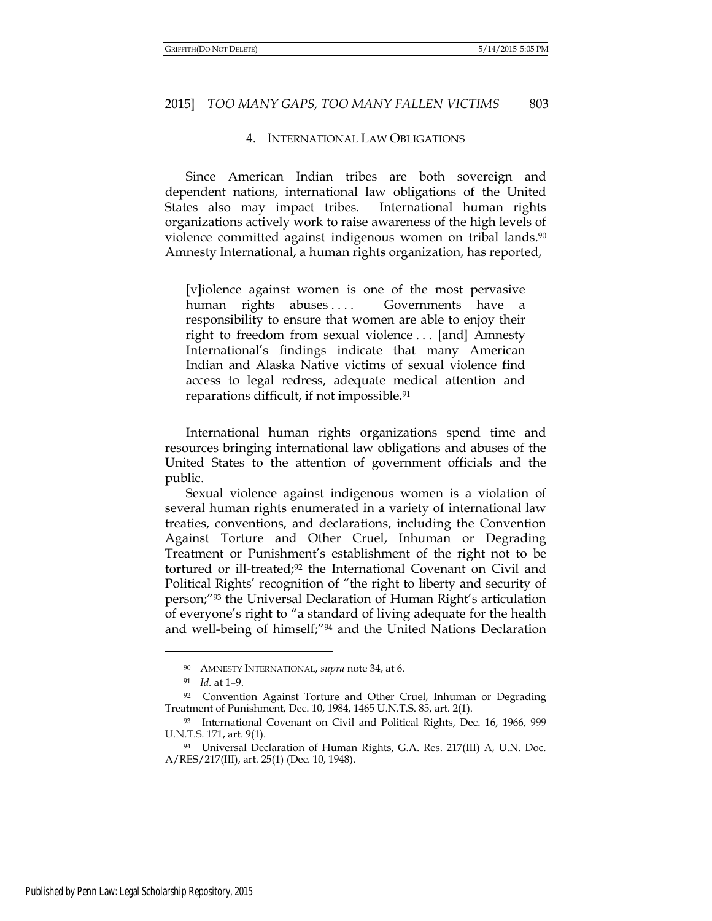#### 4. INTERNATIONAL LAW OBLIGATIONS

Since American Indian tribes are both sovereign and dependent nations, international law obligations of the United States also may impact tribes. International human rights organizations actively work to raise awareness of the high levels of violence committed against indigenous women on tribal lands.<sup>90</sup> Amnesty International, a human rights organization, has reported,

[v]iolence against women is one of the most pervasive human rights abuses .... Governments have a responsibility to ensure that women are able to enjoy their right to freedom from sexual violence . . . [and] Amnesty International's findings indicate that many American Indian and Alaska Native victims of sexual violence find access to legal redress, adequate medical attention and reparations difficult, if not impossible.<sup>91</sup>

 International human rights organizations spend time and resources bringing international law obligations and abuses of the United States to the attention of government officials and the public.

Sexual violence against indigenous women is a violation of several human rights enumerated in a variety of international law treaties, conventions, and declarations, including the Convention Against Torture and Other Cruel, Inhuman or Degrading Treatment or Punishment's establishment of the right not to be tortured or ill-treated;92 the International Covenant on Civil and Political Rights' recognition of "the right to liberty and security of person;"<sup>93</sup> the Universal Declaration of Human Right's articulation of everyone's right to "a standard of living adequate for the health and well-being of himself;"94 and the United Nations Declaration

<sup>90</sup> AMNESTY INTERNATIONAL, *supra* note 34, at 6.

<sup>91</sup> *Id.* at 1–9.

<sup>92</sup> Convention Against Torture and Other Cruel, Inhuman or Degrading Treatment of Punishment, Dec. 10, 1984, 1465 U.N.T.S. 85, art. 2(1).

<sup>93</sup> International Covenant on Civil and Political Rights, Dec. 16, 1966, 999 U.N.T.S. 171, art. 9(1).

<sup>94</sup> Universal Declaration of Human Rights, G.A. Res. 217(III) A, U.N. Doc. A/RES/217(III), art. 25(1) (Dec. 10, 1948).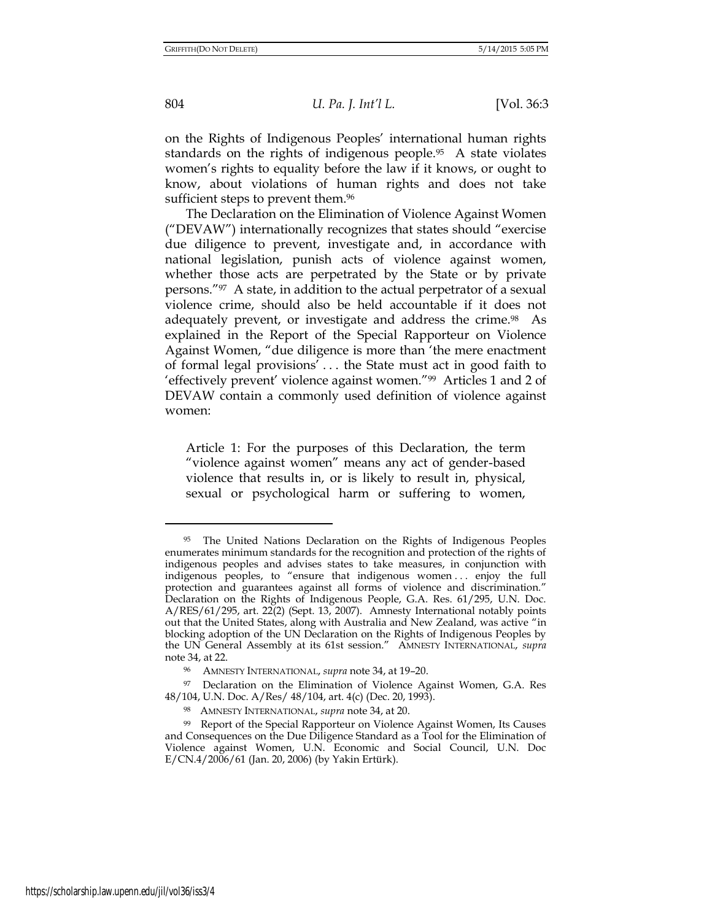on the Rights of Indigenous Peoples' international human rights standards on the rights of indigenous people.95 A state violates women's rights to equality before the law if it knows, or ought to know, about violations of human rights and does not take sufficient steps to prevent them.<sup>96</sup>

The Declaration on the Elimination of Violence Against Women ("DEVAW") internationally recognizes that states should "exercise due diligence to prevent, investigate and, in accordance with national legislation, punish acts of violence against women, whether those acts are perpetrated by the State or by private persons."97 A state, in addition to the actual perpetrator of a sexual violence crime, should also be held accountable if it does not adequately prevent, or investigate and address the crime.<sup>98</sup> As explained in the Report of the Special Rapporteur on Violence Against Women, "due diligence is more than 'the mere enactment of formal legal provisions' . . . the State must act in good faith to 'effectively prevent' violence against women."99 Articles 1 and 2 of DEVAW contain a commonly used definition of violence against women:

Article 1: For the purposes of this Declaration, the term "violence against women" means any act of gender-based violence that results in, or is likely to result in, physical, sexual or psychological harm or suffering to women,

<sup>95</sup> The United Nations Declaration on the Rights of Indigenous Peoples enumerates minimum standards for the recognition and protection of the rights of indigenous peoples and advises states to take measures, in conjunction with indigenous peoples, to "ensure that indigenous women . . . enjoy the full protection and guarantees against all forms of violence and discrimination." Declaration on the Rights of Indigenous People, G.A. Res. 61/295, U.N. Doc. A/RES/61/295, art. 22(2) (Sept. 13, 2007). Amnesty International notably points out that the United States, along with Australia and New Zealand, was active "in blocking adoption of the UN Declaration on the Rights of Indigenous Peoples by the UN General Assembly at its 61st session." AMNESTY INTERNATIONAL, *supra*  note 34, at 22.

<sup>96</sup> AMNESTY INTERNATIONAL, *supra* note 34, at 19–20.

<sup>97</sup> Declaration on the Elimination of Violence Against Women, G.A. Res 48/104, U.N. Doc. A/Res/ 48/104, art. 4(c) (Dec. 20, 1993).

<sup>98</sup> AMNESTY INTERNATIONAL, *supra* note 34, at 20.

<sup>99</sup> Report of the Special Rapporteur on Violence Against Women, Its Causes and Consequences on the Due Diligence Standard as a Tool for the Elimination of Violence against Women, U.N. Economic and Social Council, U.N. Doc E/CN.4/2006/61 (Jan. 20, 2006) (by Yakin Ertürk).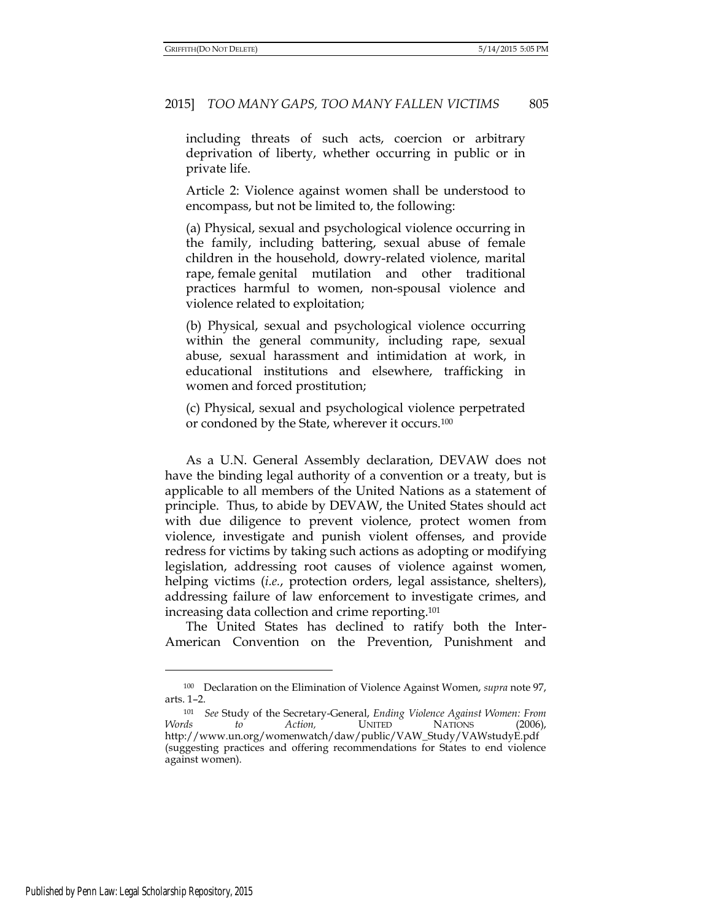including threats of such acts, coercion or arbitrary deprivation of liberty, whether occurring in public or in private life.

Article 2: Violence against women shall be understood to encompass, but not be limited to, the following:

(a) Physical, sexual and psychological violence occurring in the family, including [battering,](http://en.wikipedia.org/wiki/Battery_(crime)) sexual abuse of female children in the household, [dowry-](http://en.wikipedia.org/wiki/Dowry)related violence, [marital](http://en.wikipedia.org/wiki/Marital_rape)  [rape,](http://en.wikipedia.org/wiki/Marital_rape) [female genital mutilation](http://en.wikipedia.org/wiki/Female_genital_mutilation) and other traditional practices harmful to women, non-spousal violence and violence related to exploitation;

(b) Physical, sexual and psychological violence occurring within the general community, including [rape,](http://en.wikipedia.org/wiki/Rape) [sexual](http://en.wikipedia.org/wiki/Sexual_abuse)  [abuse,](http://en.wikipedia.org/wiki/Sexual_abuse) [sexual harassment](http://en.wikipedia.org/wiki/Sexual_harassment) and intimidation at work, in educational institutions and elsewhere, [trafficking](http://en.wikipedia.org/wiki/Human_trafficking) in women and forced [prostitution;](http://en.wikipedia.org/wiki/Prostitution)

(c) Physical, sexual and psychological violence perpetrated or condoned by the State, wherever it occurs.<sup>100</sup>

As a U.N. General Assembly declaration, DEVAW does not have the binding legal authority of a convention or a treaty, but is applicable to all members of the United Nations as a statement of principle. Thus, to abide by DEVAW, the United States should act with due diligence to prevent violence, protect women from violence, investigate and punish violent offenses, and provide redress for victims by taking such actions as adopting or modifying legislation, addressing root causes of violence against women, helping victims (*i.e.*, protection orders, legal assistance, shelters), addressing failure of law enforcement to investigate crimes, and increasing data collection and crime reporting.<sup>101</sup>

The United States has declined to ratify both the Inter-American Convention on the Prevention, Punishment and

<sup>100</sup> Declaration on the Elimination of Violence Against Women, *supra* note 97, arts. 1–2.

<sup>101</sup> *See* Study of the Secretary-General, *Ending Violence Against Women: From Words to Action,* UNITED NATIONS (2006), http://www.un.org/womenwatch/daw/public/VAW\_Study/VAWstudyE.pdf (suggesting practices and offering recommendations for States to end violence against women).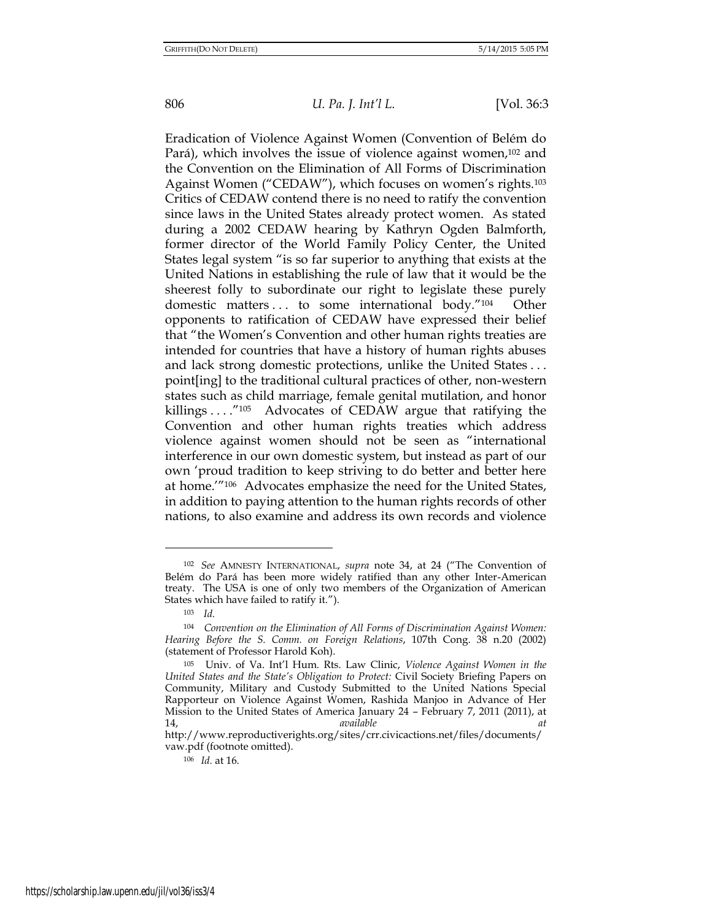Eradication of Violence Against Women (Convention of Belém do Pará), which involves the issue of violence against women,<sup>102</sup> and the Convention on the Elimination of All Forms of Discrimination Against Women ("CEDAW"), which focuses on women's rights.<sup>103</sup> Critics of CEDAW contend there is no need to ratify the convention since laws in the United States already protect women. As stated during a 2002 CEDAW hearing by Kathryn Ogden Balmforth, former director of the World Family Policy Center, the United States legal system "is so far superior to anything that exists at the United Nations in establishing the rule of law that it would be the sheerest folly to subordinate our right to legislate these purely domestic matters . . . to some international body."104 Other opponents to ratification of CEDAW have expressed their belief that "the Women's Convention and other human rights treaties are intended for countries that have a history of human rights abuses and lack strong domestic protections, unlike the United States . . . point[ing] to the traditional cultural practices of other, non-western states such as child marriage, female genital mutilation, and honor killings . . . . "<sup>105</sup> Advocates of CEDAW argue that ratifying the Convention and other human rights treaties which address violence against women should not be seen as "international interference in our own domestic system, but instead as part of our own 'proud tradition to keep striving to do better and better here at home.'"106 Advocates emphasize the need for the United States, in addition to paying attention to the human rights records of other nations, to also examine and address its own records and violence

<sup>102</sup> *See* AMNESTY INTERNATIONAL, *supra* note 34, at 24 ("The Convention of Belém do Pará has been more widely ratified than any other Inter-American treaty. The USA is one of only two members of the Organization of American States which have failed to ratify it.").

<sup>103</sup> *Id.* 

<sup>104</sup> *Convention on the Elimination of All Forms of Discrimination Against Women: Hearing Before the S. Comm. on Foreign Relations*, 107th Cong. 38 n.20 (2002) (statement of Professor Harold Koh).

<sup>105</sup> Univ. of Va. Int'l Hum. Rts. Law Clinic, *Violence Against Women in the United States and the State's Obligation to Protect:* Civil Society Briefing Papers on Community, Military and Custody Submitted to the United Nations Special Rapporteur on Violence Against Women, Rashida Manjoo in Advance of Her Mission to the United States of America January 24 – February 7, 2011 (2011), at 14, *available at* 

http://www.reproductiverights.org/sites/crr.civicactions.net/files/documents/ vaw.pdf (footnote omitted).

<sup>106</sup> *Id.* at 16.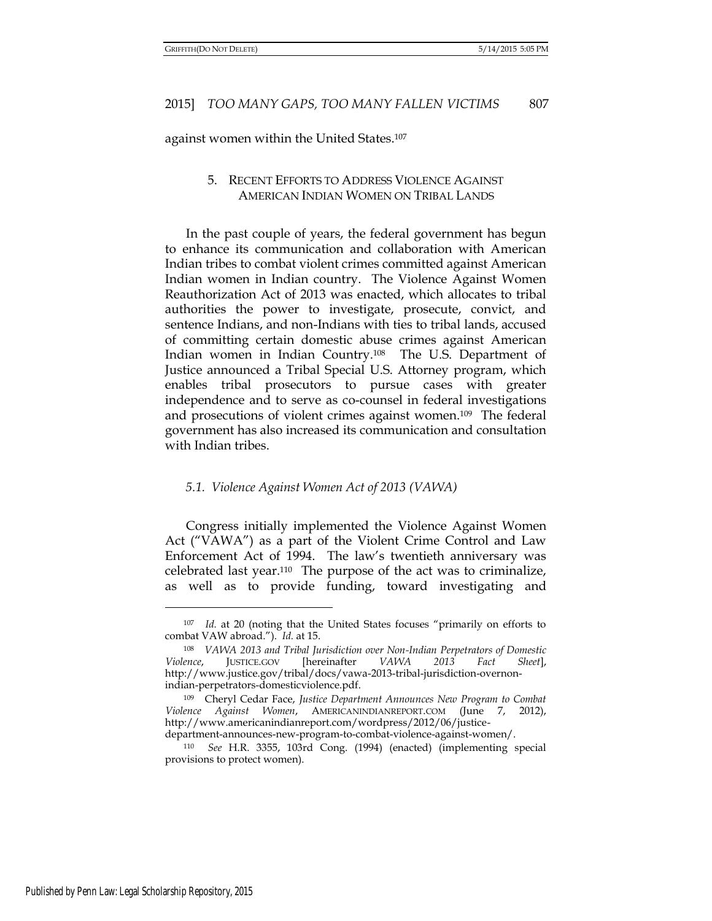against women within the United States.<sup>107</sup>

# 5. RECENT EFFORTS TO ADDRESS VIOLENCE AGAINST AMERICAN INDIAN WOMEN ON TRIBAL LANDS

In the past couple of years, the federal government has begun to enhance its communication and collaboration with American Indian tribes to combat violent crimes committed against American Indian women in Indian country. The Violence Against Women Reauthorization Act of 2013 was enacted, which allocates to tribal authorities the power to investigate, prosecute, convict, and sentence Indians, and non-Indians with ties to tribal lands, accused of committing certain domestic abuse crimes against American Indian women in Indian Country.108 The U.S. Department of Justice announced a Tribal Special U.S. Attorney program, which enables tribal prosecutors to pursue cases with greater independence and to serve as co-counsel in federal investigations and prosecutions of violent crimes against women.109 The federal government has also increased its communication and consultation with Indian tribes.

#### *5.1. Violence Against Women Act of 2013 (VAWA)*

Congress initially implemented the Violence Against Women Act ("VAWA") as a part of the Violent Crime Control and Law Enforcement Act of 1994. The law's twentieth anniversary was celebrated last year.110 The purpose of the act was to criminalize, as well as to provide funding, toward investigating and

<sup>107</sup> *Id.* at 20 (noting that the United States focuses "primarily on efforts to combat VAW abroad."). *Id.* at 15.

<sup>108</sup> *VAWA 2013 and Tribal Jurisdiction over Non-Indian Perpetrators of Domestic Violence*, JUSTICE.GOV [hereinafter *VAWA 2013 Fact Sheet*], http://www.justice.gov/tribal/docs/vawa-2013-tribal-jurisdiction-overnonindian-perpetrators-domesticviolence.pdf.

<sup>109</sup> Cheryl Cedar Face, *Justice Department Announces New Program to Combat Violence Against Women*, AMERICANINDIANREPORT.COM (June 7, 2012), http://www.americanindianreport.com/wordpress/2012/06/justice-

department-announces-new-program-to-combat-violence-against-women/.

<sup>110</sup> *See* H.R. 3355, 103rd Cong. (1994) (enacted) (implementing special provisions to protect women).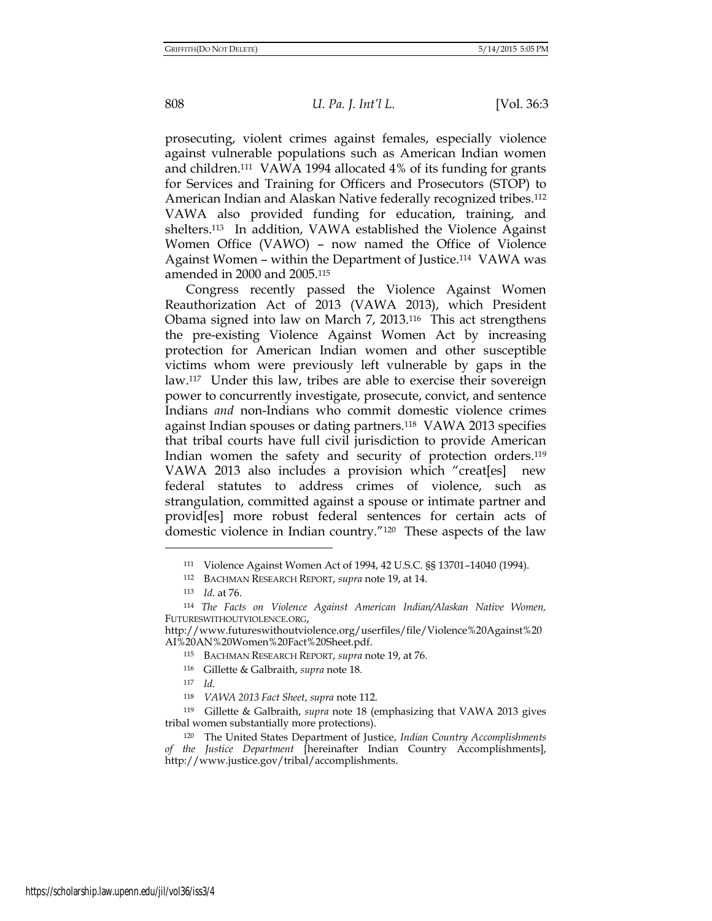prosecuting, violent crimes against females, especially violence against vulnerable populations such as American Indian women and children.111 VAWA 1994 allocated 4% of its funding for grants for Services and Training for Officers and Prosecutors (STOP) to American Indian and Alaskan Native federally recognized tribes.<sup>112</sup> VAWA also provided funding for education, training, and shelters.113 In addition, VAWA established the Violence Against Women Office (VAWO) – now named the Office of Violence Against Women – within the Department of Justice.114 VAWA was amended in 2000 and 2005.<sup>115</sup>

Congress recently passed the Violence Against Women Reauthorization Act of 2013 (VAWA 2013), which President Obama signed into law on March 7, 2013.116 This act strengthens the pre-existing Violence Against Women Act by increasing protection for American Indian women and other susceptible victims whom were previously left vulnerable by gaps in the law.117 Under this law, tribes are able to exercise their sovereign power to concurrently investigate, prosecute, convict, and sentence Indians *and* non-Indians who commit domestic violence crimes against Indian spouses or dating partners.118 VAWA 2013 specifies that tribal courts have full civil jurisdiction to provide American Indian women the safety and security of protection orders.<sup>119</sup> VAWA 2013 also includes a provision which "creat[es] new federal statutes to address crimes of violence, such as strangulation, committed against a spouse or intimate partner and provid[es] more robust federal sentences for certain acts of domestic violence in Indian country."120 These aspects of the law

<sup>111</sup> Violence Against Women Act of 1994, 42 U.S.C. §§ 13701–14040 (1994).

<sup>112</sup> BACHMAN RESEARCH REPORT, *supra* note 19, at 14.

<sup>113</sup> *Id.* at 76.

<sup>114</sup> *The Facts on Violence Against American Indian/Alaskan Native Women,*  FUTURESWITHOUTVIOLENCE.ORG,

http://www.futureswithoutviolence.org/userfiles/file/Violence%20Against%20 AI%20AN%20Women%20Fact%20Sheet.pdf.

<sup>115</sup> BACHMAN RESEARCH REPORT, *supra* note 19, at 76.

<sup>116</sup> Gillette & Galbraith, *supra* note 18.

<sup>117</sup> *Id.* 

<sup>118</sup> *VAWA 2013 Fact Sheet*, *supra* note 112.

<sup>119</sup> Gillette & Galbraith, *supra* note 18 (emphasizing that VAWA 2013 gives tribal women substantially more protections).

<sup>120</sup> The United States Department of Justice, *Indian Country Accomplishments of the Justice Department* [hereinafter Indian Country Accomplishments], http://www.justice.gov/tribal/accomplishments.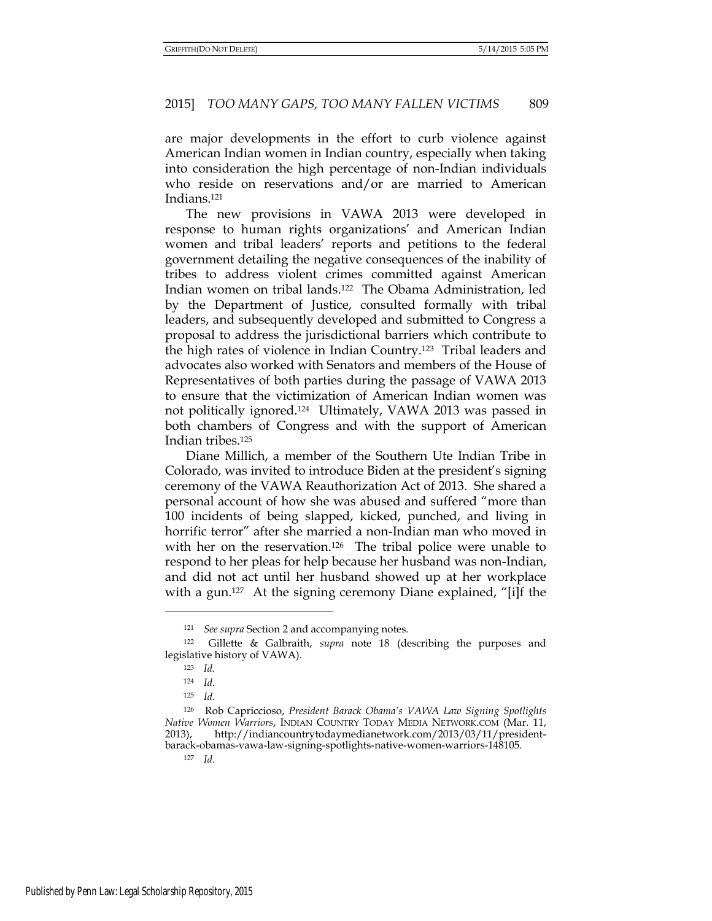are major developments in the effort to curb violence against American Indian women in Indian country, especially when taking into consideration the high percentage of non-Indian individuals who reside on reservations and/or are married to American Indians.<sup>121</sup>

The new provisions in VAWA 2013 were developed in response to human rights organizations' and American Indian women and tribal leaders' reports and petitions to the federal government detailing the negative consequences of the inability of tribes to address violent crimes committed against American Indian women on tribal lands.122 The Obama Administration, led by the Department of Justice, consulted formally with tribal leaders, and subsequently developed and submitted to Congress a proposal to address the jurisdictional barriers which contribute to the high rates of violence in Indian Country.123 Tribal leaders and advocates also worked with Senators and members of the House of Representatives of both parties during the passage of VAWA 2013 to ensure that the victimization of American Indian women was not politically ignored.124 Ultimately, VAWA 2013 was passed in both chambers of Congress and with the support of American Indian tribes.<sup>125</sup>

Diane Millich, a member of the Southern Ute Indian Tribe in Colorado, was invited to introduce Biden at the president's signing ceremony of the VAWA Reauthorization Act of 2013. She shared a personal account of how she was abused and suffered "more than 100 incidents of being slapped, kicked, punched, and living in horrific terror" after she married a non-Indian man who moved in with her on the reservation.<sup>126</sup> The tribal police were unable to respond to her pleas for help because her husband was non-Indian, and did not act until her husband showed up at her workplace with a gun.<sup>127</sup> At the signing ceremony Diane explained, "[i]f the

<sup>121</sup> *See supra* Section 2 and accompanying notes.

<sup>122</sup> Gillette & Galbraith, *supra* note 18 (describing the purposes and legislative history of VAWA).

<sup>123</sup> *Id.*

<sup>124</sup> *Id.*

<sup>125</sup> *Id.* 

<sup>126</sup> Rob Capriccioso, *President Barack Obama's VAWA Law Signing Spotlights Native Women Warriors*, INDIAN COUNTRY TODAY MEDIA NETWORK.COM (Mar. 11, 2013), http://indiancountrytodaymedianetwork.com/2013/03/11/presidentbarack-obamas-vawa-law-signing-spotlights-native-women-warriors-148105.

<sup>127</sup> *Id.*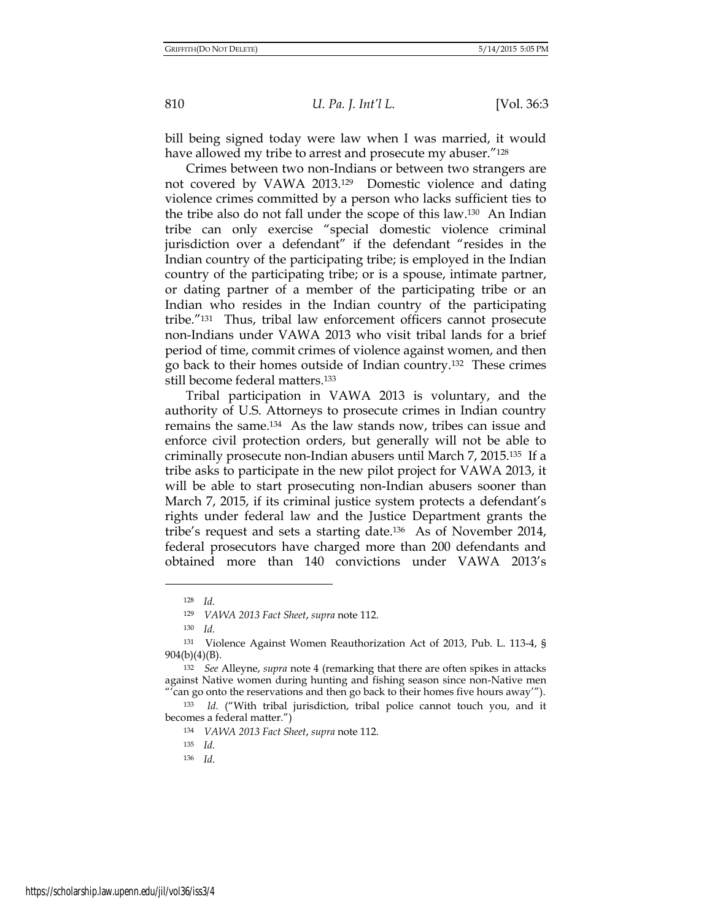bill being signed today were law when I was married, it would have allowed my tribe to arrest and prosecute my abuser."<sup>128</sup>

Crimes between two non-Indians or between two strangers are not covered by VAWA 2013.129 Domestic violence and dating violence crimes committed by a person who lacks sufficient ties to the tribe also do not fall under the scope of this law.130 An Indian tribe can only exercise "special domestic violence criminal jurisdiction over a defendant" if the defendant "resides in the Indian country of the participating tribe; is employed in the Indian country of the participating tribe; or is a spouse, intimate partner, or dating partner of a member of the participating tribe or an Indian who resides in the Indian country of the participating tribe."131 Thus, tribal law enforcement officers cannot prosecute non-Indians under VAWA 2013 who visit tribal lands for a brief period of time, commit crimes of violence against women, and then go back to their homes outside of Indian country.132 These crimes still become federal matters.<sup>133</sup>

Tribal participation in VAWA 2013 is voluntary, and the authority of U.S. Attorneys to prosecute crimes in Indian country remains the same.134 As the law stands now, tribes can issue and enforce civil protection orders, but generally will not be able to criminally prosecute non-Indian abusers until March 7, 2015.135 If a tribe asks to participate in the new pilot project for VAWA 2013, it will be able to start prosecuting non-Indian abusers sooner than March 7, 2015, if its criminal justice system protects a defendant's rights under federal law and the Justice Department grants the tribe's request and sets a starting date.136 As of November 2014, federal prosecutors have charged more than 200 defendants and obtained more than 140 convictions under VAWA 2013's

<sup>128</sup> *Id.*

<sup>129</sup> *VAWA 2013 Fact Sheet*, *supra* note 112.

<sup>130</sup> *Id.*

<sup>131</sup> Violence Against Women Reauthorization Act of 2013, Pub. L. 113-4, § 904(b)(4)(B).

<sup>132</sup> *See* Alleyne, *supra* note 4 (remarking that there are often spikes in attacks against Native women during hunting and fishing season since non-Native men " $\tilde{c}$  can go onto the reservations and then go back to their homes five hours away").

<sup>133</sup> *Id.* ("With tribal jurisdiction, tribal police cannot touch you, and it becomes a federal matter.")

<sup>134</sup> *VAWA 2013 Fact Sheet*, *supra* note 112.

<sup>135</sup> *Id.* 

<sup>136</sup> *Id.*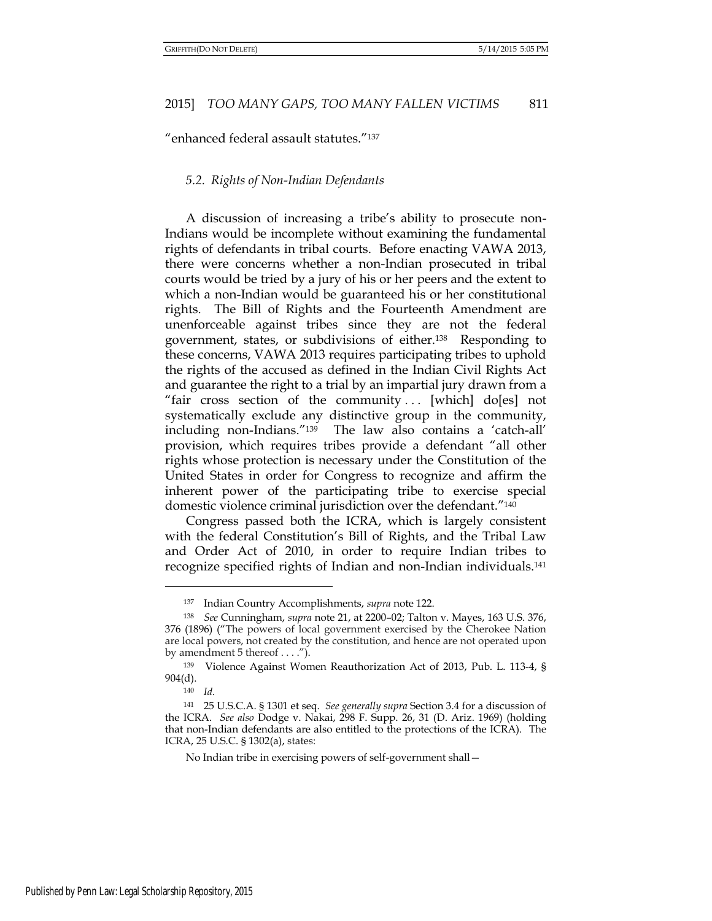"enhanced federal assault statutes."<sup>137</sup>

### *5.2. Rights of Non-Indian Defendants*

A discussion of increasing a tribe's ability to prosecute non-Indians would be incomplete without examining the fundamental rights of defendants in tribal courts. Before enacting VAWA 2013, there were concerns whether a non-Indian prosecuted in tribal courts would be tried by a jury of his or her peers and the extent to which a non-Indian would be guaranteed his or her constitutional rights. The Bill of Rights and the Fourteenth Amendment are unenforceable against tribes since they are not the federal government, states, or subdivisions of either.138 Responding to these concerns, VAWA 2013 requires participating tribes to uphold the rights of the accused as defined in the Indian Civil Rights Act and guarantee the right to a trial by an impartial jury drawn from a "fair cross section of the community  $\ldots$  [which] do[es] not systematically exclude any distinctive group in the community, including non-Indians."<sup>139</sup> The law also contains a 'catch-all' provision, which requires tribes provide a defendant "all other rights whose protection is necessary under the Constitution of the United States in order for Congress to recognize and affirm the inherent power of the participating tribe to exercise special domestic violence criminal jurisdiction over the defendant."<sup>140</sup>

Congress passed both the ICRA, which is largely consistent with the federal Constitution's Bill of Rights, and the Tribal Law and Order Act of 2010, in order to require Indian tribes to recognize specified rights of Indian and non-Indian individuals.<sup>141</sup>

 $\overline{a}$ 

No Indian tribe in exercising powers of self-government shall—

<sup>137</sup> Indian Country Accomplishments, *supra* note 122.

<sup>138</sup> *See* Cunningham, *supra* note 21, at 2200–02; Talton v. Mayes, 163 U.S. 376, 376 (1896) ("The powers of local government exercised by the Cherokee Nation are local powers, not created by the constitution, and hence are not operated upon by amendment 5 thereof . . . .").

<sup>139</sup> Violence Against Women Reauthorization Act of 2013, Pub. L. 113-4, § 904(d).

<sup>140</sup> *Id.*

<sup>141</sup> 25 U.S.C.A. § 1301 et seq. *See generally supra* Section 3.4 for a discussion of the ICRA. *See also* Dodge v. Nakai, 298 F. Supp. 26, 31 (D. Ariz. 1969) (holding that non-Indian defendants are also entitled to the protections of the ICRA). The ICRA, [25 U.S.C. § 1302\(](https://a.next.westlaw.com/Link/Document/FullText?findType=L&pubNum=1000546&cite=25USCAS1302&originatingDoc=I122201e15ae911dbbe1cf2d29fe2afe6&refType=LQ&originationContext=document&transitionType=DocumentItem&contextData=(sc.Search))a), states: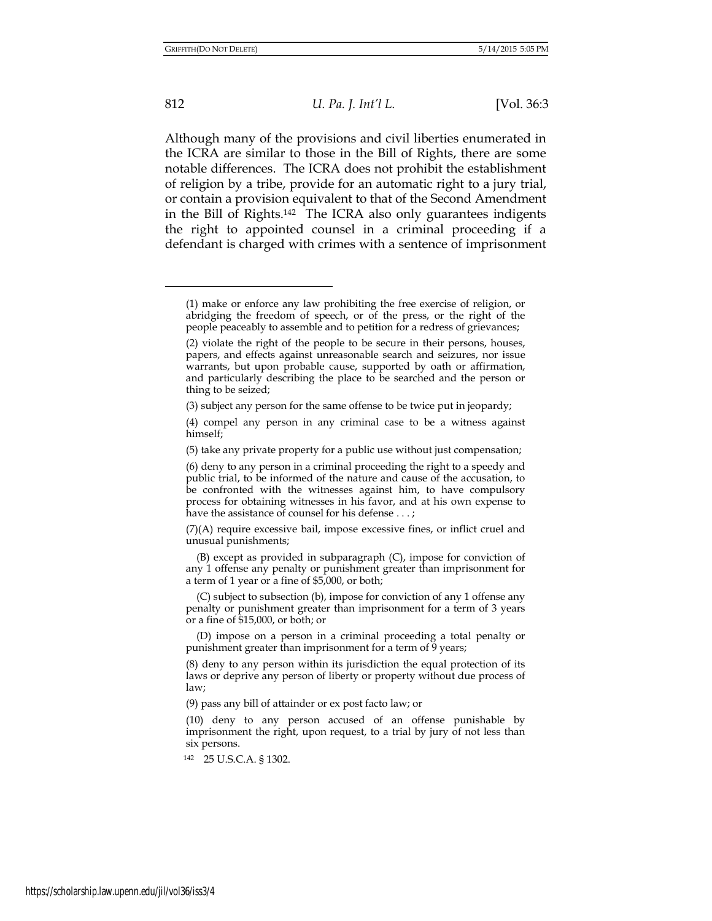812 *U. Pa. J. Int'l L.* [Vol. 36:3

Although many of the provisions and civil liberties enumerated in the ICRA are similar to those in the Bill of Rights, there are some notable differences. The ICRA does not prohibit the establishment of religion by a tribe, provide for an automatic right to a jury trial, or contain a provision equivalent to that of the Second Amendment in the Bill of Rights.142 The ICRA also only guarantees indigents the right to appointed counsel in a criminal proceeding if a defendant is charged with crimes with a sentence of imprisonment

<sup>(1)</sup> make or enforce any law prohibiting the free exercise of religion, or abridging the freedom of speech, or of the press, or the right of the people peaceably to assemble and to petition for a redress of grievances;

<sup>(2)</sup> violate the right of the people to be secure in their persons, houses, papers, and effects against unreasonable search and seizures, nor issue warrants, but upon probable cause, supported by oath or affirmation, and particularly describing the place to be searched and the person or thing to be seized;

<sup>(3)</sup> subject any person for the same offense to be twice put in jeopardy;

<sup>(4)</sup> compel any person in any criminal case to be a witness against himself;

<sup>(5)</sup> take any private property for a public use without just compensation;

<sup>(6)</sup> deny to any person in a criminal proceeding the right to a speedy and public trial, to be informed of the nature and cause of the accusation, to be confronted with the witnesses against him, to have compulsory process for obtaining witnesses in his favor, and at his own expense to have the assistance of counsel for his defense . . . ;

<sup>(7)(</sup>A) require excessive bail, impose excessive fines, or inflict cruel and unusual punishments;

 <sup>(</sup>B) except as provided in subparagraph (C), impose for conviction of any 1 offense any penalty or punishment greater than imprisonment for a term of 1 year or a fine of \$5,000, or both;

 <sup>(</sup>C) subject to subsection (b), impose for conviction of any 1 offense any penalty or punishment greater than imprisonment for a term of 3 years or a fine of \$15,000, or both; or

 <sup>(</sup>D) impose on a person in a criminal proceeding a total penalty or punishment greater than imprisonment for a term of 9 years;

<sup>(8)</sup> deny to any person within its jurisdiction the equal protection of its laws or deprive any person of liberty or property without due process of law;

<sup>(9)</sup> pass any bill of attainder or ex post facto law; or

<sup>(10)</sup> deny to any person accused of an offense punishable by imprisonment the right, upon request, to a trial by jury of not less than six persons.

<sup>142</sup> 25 U.S.C.A. § 1302.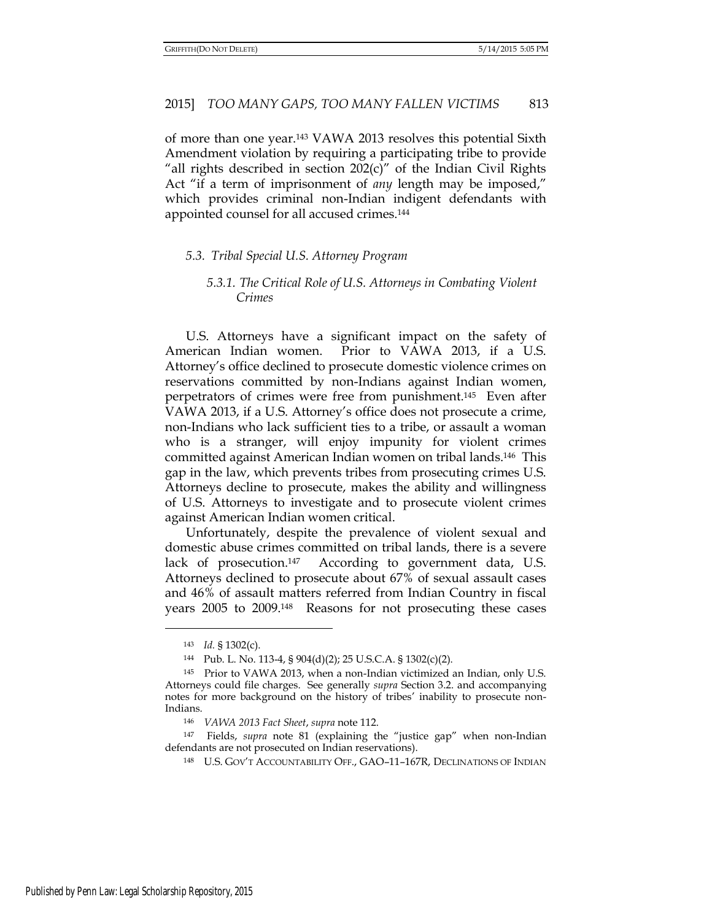of more than one year.143 VAWA 2013 resolves this potential Sixth Amendment violation by requiring a participating tribe to provide "all rights described in section  $202(c)$ " of the Indian Civil Rights Act "if a term of imprisonment of *any* length may be imposed," which provides criminal non-Indian indigent defendants with appointed counsel for all accused crimes.<sup>144</sup>

## *5.3. Tribal Special U.S. Attorney Program*

# *5.3.1. The Critical Role of U.S. Attorneys in Combating Violent Crimes*

U.S. Attorneys have a significant impact on the safety of American Indian women. Prior to VAWA 2013, if a U.S. Attorney's office declined to prosecute domestic violence crimes on reservations committed by non-Indians against Indian women, perpetrators of crimes were free from punishment.145 Even after VAWA 2013, if a U.S. Attorney's office does not prosecute a crime, non-Indians who lack sufficient ties to a tribe, or assault a woman who is a stranger, will enjoy impunity for violent crimes committed against American Indian women on tribal lands.146 This gap in the law, which prevents tribes from prosecuting crimes U.S. Attorneys decline to prosecute, makes the ability and willingness of U.S. Attorneys to investigate and to prosecute violent crimes against American Indian women critical.

Unfortunately, despite the prevalence of violent sexual and domestic abuse crimes committed on tribal lands, there is a severe lack of prosecution.147 According to government data, U.S. Attorneys declined to prosecute about 67% of sexual assault cases and 46% of assault matters referred from Indian Country in fiscal years 2005 to 2009.148 Reasons for not prosecuting these cases

<sup>143</sup> *Id.* § 1302(c).

<sup>144</sup> Pub. L. No. 113-4, § 904(d)(2); 25 U.S.C.A. § 1302(c)(2).

<sup>145</sup> Prior to VAWA 2013, when a non-Indian victimized an Indian, only U.S. Attorneys could file charges. See generally *supra* Section 3.2. and accompanying notes for more background on the history of tribes' inability to prosecute non-Indians.

<sup>146</sup> *VAWA 2013 Fact Sheet*, *supra* note 112.

<sup>147</sup> Fields, *supra* note 81 (explaining the "justice gap" when non-Indian defendants are not prosecuted on Indian reservations).

<sup>148</sup> U.S. GOV'T ACCOUNTABILITY OFF., GAO–11–167R, DECLINATIONS OF INDIAN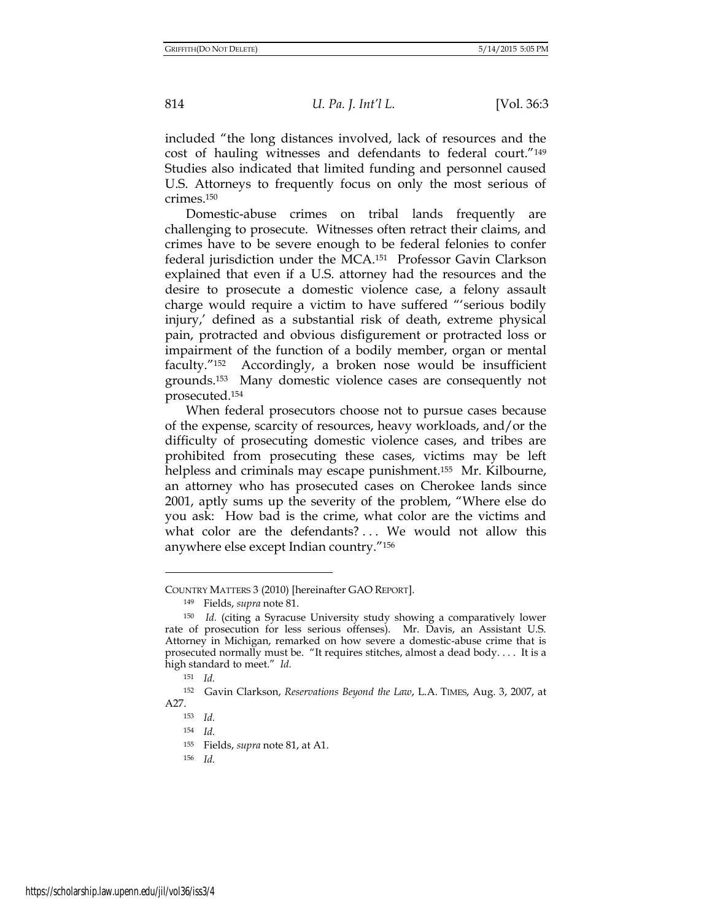included "the long distances involved, lack of resources and the cost of hauling witnesses and defendants to federal court."<sup>149</sup> Studies also indicated that limited funding and personnel caused U.S. Attorneys to frequently focus on only the most serious of crimes.<sup>150</sup>

Domestic-abuse crimes on tribal lands frequently are challenging to prosecute. Witnesses often retract their claims, and crimes have to be severe enough to be federal felonies to confer federal jurisdiction under the MCA.151 Professor Gavin Clarkson explained that even if a U.S. attorney had the resources and the desire to prosecute a domestic violence case, a felony assault charge would require a victim to have suffered "'serious bodily injury,' defined as a substantial risk of death, extreme physical pain, protracted and obvious disfigurement or protracted loss or impairment of the function of a bodily member, organ or mental faculty."152 Accordingly, a broken nose would be insufficient grounds.153 Many domestic violence cases are consequently not prosecuted.<sup>154</sup>

When federal prosecutors choose not to pursue cases because of the expense, scarcity of resources, heavy workloads, and/or the difficulty of prosecuting domestic violence cases, and tribes are prohibited from prosecuting these cases, victims may be left helpless and criminals may escape punishment.<sup>155</sup> Mr. Kilbourne, an attorney who has prosecuted cases on Cherokee lands since 2001, aptly sums up the severity of the problem, "Where else do you ask: How bad is the crime, what color are the victims and what color are the defendants? ... We would not allow this anywhere else except Indian country."<sup>156</sup>

COUNTRY MATTERS 3 (2010) [hereinafter GAO REPORT].

<sup>149</sup> Fields, *supra* note 81.

<sup>150</sup> *Id.* (citing a Syracuse University study showing a comparatively lower rate of prosecution for less serious offenses). Mr. Davis, an Assistant U.S. Attorney in Michigan, remarked on how severe a domestic-abuse crime that is prosecuted normally must be. "It requires stitches, almost a dead body. . . . It is a high standard to meet." *Id.*

<sup>151</sup> *Id.* 

<sup>152</sup> Gavin Clarkson, *Reservations Beyond the Law*, L.A. TIMES, Aug. 3, 2007, at A27.

<sup>153</sup> *Id.*

<sup>154</sup> *Id.*

<sup>155</sup> Fields, *supra* note 81, at A1.

<sup>156</sup> *Id.*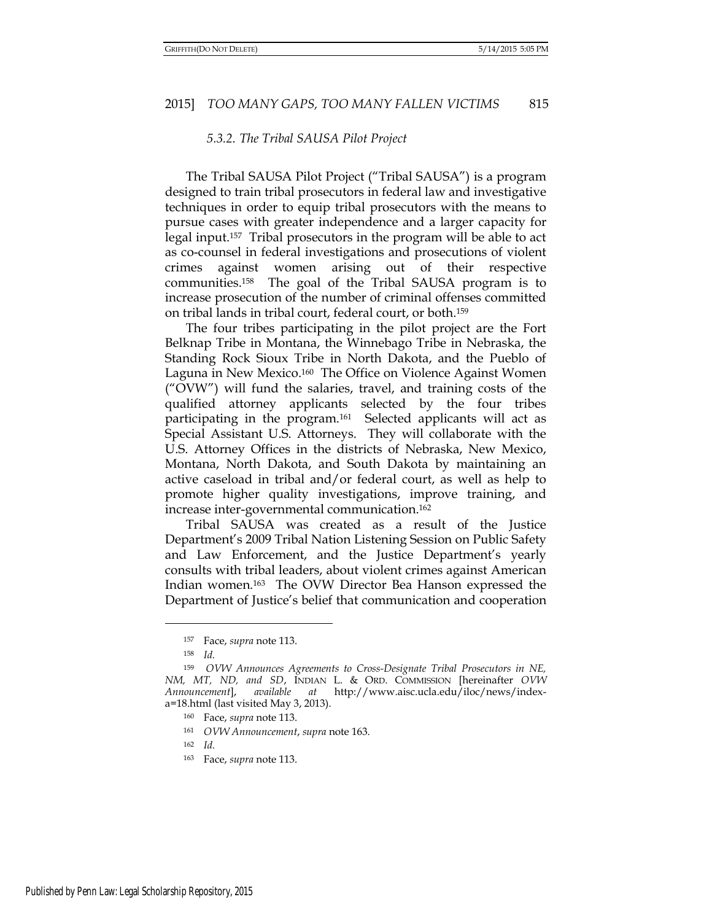## *5.3.2. The Tribal SAUSA Pilot Project*

The Tribal SAUSA Pilot Project ("Tribal SAUSA") is a program designed to train tribal prosecutors in federal law and investigative techniques in order to equip tribal prosecutors with the means to pursue cases with greater independence and a larger capacity for legal input.157 Tribal prosecutors in the program will be able to act as co-counsel in federal investigations and prosecutions of violent crimes against women arising out of their respective communities.158 The goal of the Tribal SAUSA program is to increase prosecution of the number of criminal offenses committed on tribal lands in tribal court, federal court, or both.<sup>159</sup>

The four tribes participating in the pilot project are the Fort Belknap Tribe in Montana, the Winnebago Tribe in Nebraska, the Standing Rock Sioux Tribe in North Dakota, and the Pueblo of Laguna in New Mexico.160 The Office on Violence Against Women ("OVW") will fund the salaries, travel, and training costs of the qualified attorney applicants selected by the four tribes participating in the program.161 Selected applicants will act as Special Assistant U.S. Attorneys. They will collaborate with the U.S. Attorney Offices in the districts of Nebraska, New Mexico, Montana, North Dakota, and South Dakota by maintaining an active caseload in tribal and/or federal court, as well as help to promote higher quality investigations, improve training, and increase inter-governmental communication.<sup>162</sup>

Tribal SAUSA was created as a result of the Justice Department's 2009 Tribal Nation Listening Session on Public Safety and Law Enforcement, and the Justice Department's yearly consults with tribal leaders, about violent crimes against American Indian women.163 The OVW Director Bea Hanson expressed the Department of Justice's belief that communication and cooperation

<sup>157</sup> Face, *supra* note 113.

<sup>158</sup> *Id.* 

<sup>159</sup> *OVW Announces Agreements to Cross-Designate Tribal Prosecutors in NE, NM, MT, ND, and SD*, INDIAN L. & ORD. COMMISSION [hereinafter *OVW Announcement*], *available at* http://www.aisc.ucla.edu/iloc/news/indexa=18.html (last visited May 3, 2013).

<sup>160</sup> Face, *supra* note 113.

<sup>161</sup> *OVW Announcement*, *supra* note 163.

<sup>162</sup> *Id.*

<sup>163</sup> Face, *supra* note 113.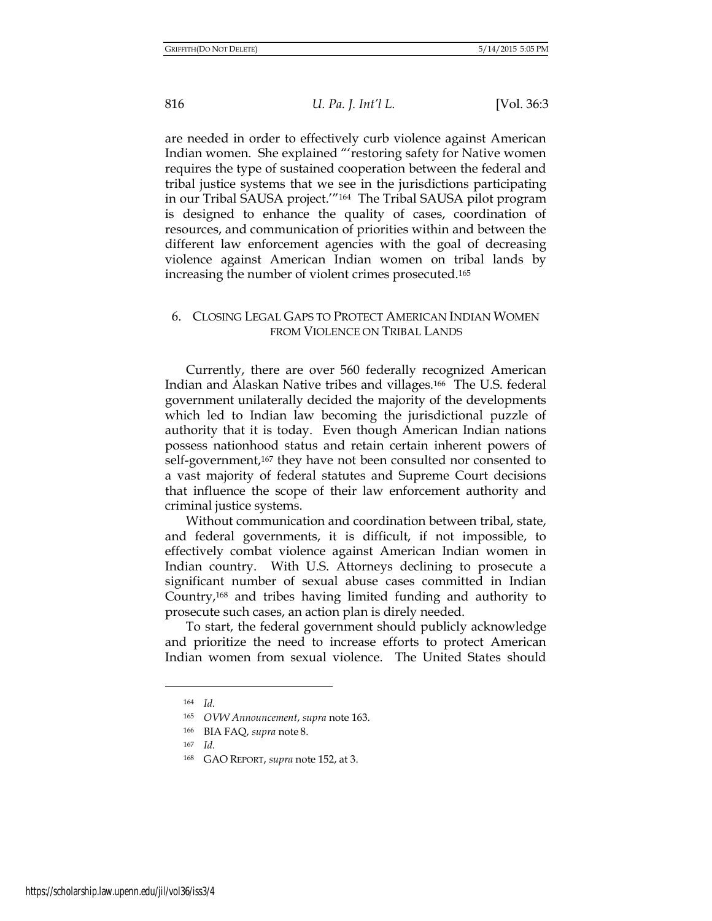are needed in order to effectively curb violence against American Indian women. She explained "'restoring safety for Native women requires the type of sustained cooperation between the federal and tribal justice systems that we see in the jurisdictions participating in our Tribal SAUSA project.'"164 The Tribal SAUSA pilot program is designed to enhance the quality of cases, coordination of resources, and communication of priorities within and between the different law enforcement agencies with the goal of decreasing violence against American Indian women on tribal lands by increasing the number of violent crimes prosecuted.<sup>165</sup>

## 6. CLOSING LEGAL GAPS TO PROTECT AMERICAN INDIAN WOMEN FROM VIOLENCE ON TRIBAL LANDS

Currently, there are over 560 federally recognized American Indian and Alaskan Native tribes and villages.166 The U.S. federal government unilaterally decided the majority of the developments which led to Indian law becoming the jurisdictional puzzle of authority that it is today. Even though American Indian nations possess nationhood status and retain certain inherent powers of self-government,<sup>167</sup> they have not been consulted nor consented to a vast majority of federal statutes and Supreme Court decisions that influence the scope of their law enforcement authority and criminal justice systems.

Without communication and coordination between tribal, state, and federal governments, it is difficult, if not impossible, to effectively combat violence against American Indian women in Indian country. With U.S. Attorneys declining to prosecute a significant number of sexual abuse cases committed in Indian Country,168 and tribes having limited funding and authority to prosecute such cases, an action plan is direly needed.

To start, the federal government should publicly acknowledge and prioritize the need to increase efforts to protect American Indian women from sexual violence. The United States should

<sup>164</sup> *Id.*

<sup>165</sup> *OVW Announcement*, *supra* note 163.

<sup>166</sup> BIA FAQ, *supra* note 8.

<sup>167</sup> *Id.*

<sup>168</sup> GAO REPORT, *supra* note 152, at 3.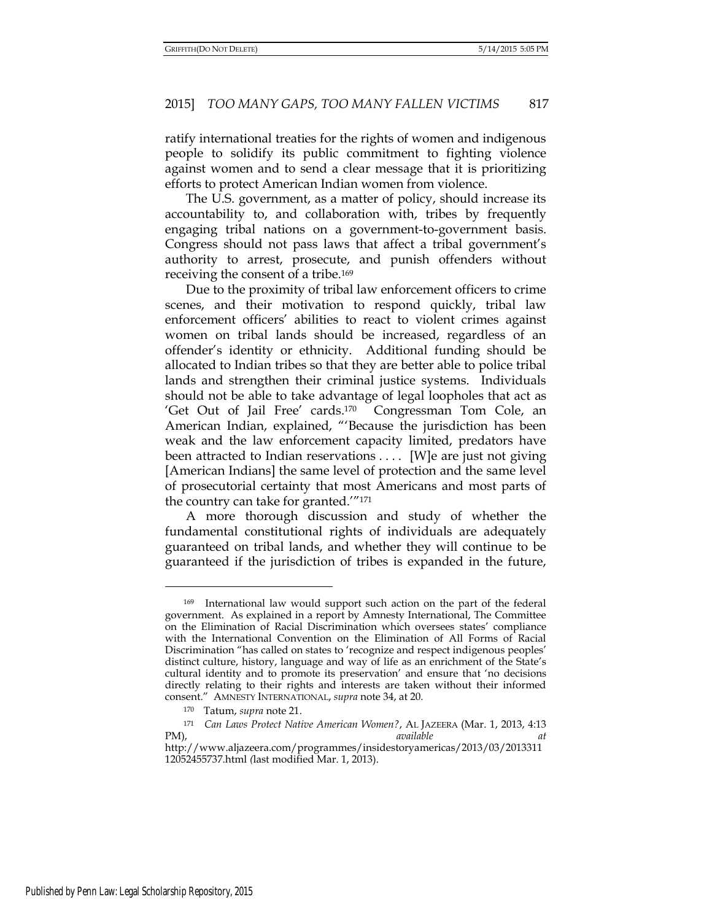ratify international treaties for the rights of women and indigenous people to solidify its public commitment to fighting violence against women and to send a clear message that it is prioritizing efforts to protect American Indian women from violence.

The U.S. government, as a matter of policy, should increase its accountability to, and collaboration with, tribes by frequently engaging tribal nations on a government-to-government basis. Congress should not pass laws that affect a tribal government's authority to arrest, prosecute, and punish offenders without receiving the consent of a tribe.<sup>169</sup>

Due to the proximity of tribal law enforcement officers to crime scenes, and their motivation to respond quickly, tribal law enforcement officers' abilities to react to violent crimes against women on tribal lands should be increased, regardless of an offender's identity or ethnicity. Additional funding should be allocated to Indian tribes so that they are better able to police tribal lands and strengthen their criminal justice systems. Individuals should not be able to take advantage of legal loopholes that act as 'Get Out of Jail Free' cards.170 Congressman Tom Cole, an American Indian, explained, "'Because the jurisdiction has been weak and the law enforcement capacity limited, predators have been attracted to Indian reservations . . . . [W]e are just not giving [American Indians] the same level of protection and the same level of prosecutorial certainty that most Americans and most parts of the country can take for granted.'"<sup>171</sup>

A more thorough discussion and study of whether the fundamental constitutional rights of individuals are adequately guaranteed on tribal lands, and whether they will continue to be guaranteed if the jurisdiction of tribes is expanded in the future,

<sup>169</sup> International law would support such action on the part of the federal government. As explained in a report by Amnesty International, The Committee on the Elimination of Racial Discrimination which oversees states' compliance with the International Convention on the Elimination of All Forms of Racial Discrimination "has called on states to 'recognize and respect indigenous peoples' distinct culture, history, language and way of life as an enrichment of the State's cultural identity and to promote its preservation' and ensure that 'no decisions directly relating to their rights and interests are taken without their informed consent." AMNESTY INTERNATIONAL, *supra* note 34, at 20.

<sup>170</sup> Tatum, *supra* note 21.

<sup>171</sup> *Can Laws Protect Native American Women?*, AL JAZEERA (Mar. 1, 2013, 4:13 PM), *available at*  http://www.aljazeera.com/programmes/insidestoryamericas/2013/03/2013311

<sup>12052455737.</sup>html *(*last modified Mar. 1, 2013).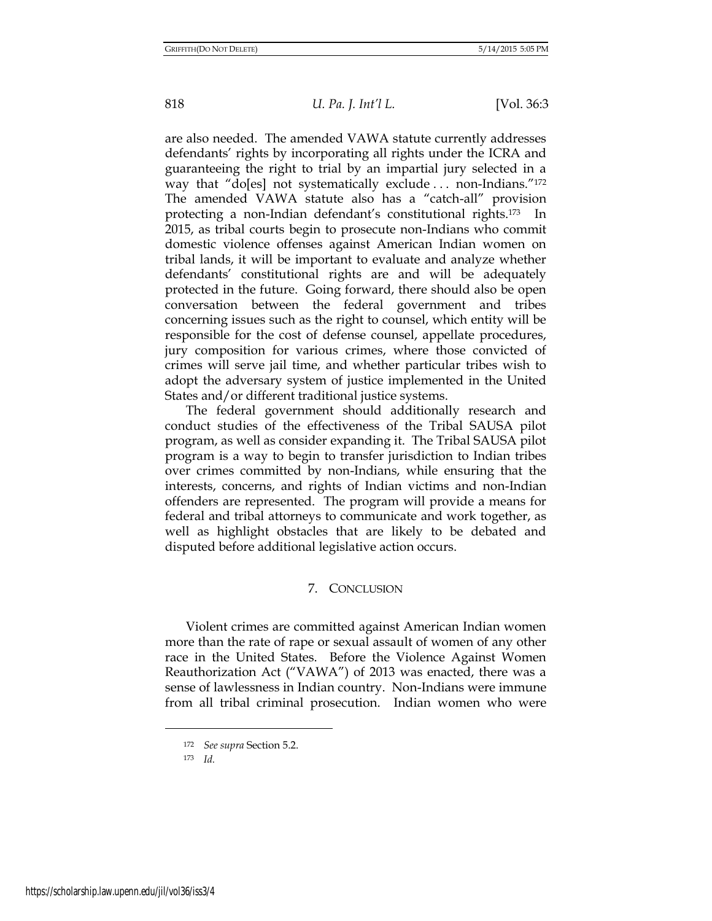are also needed. The amended VAWA statute currently addresses defendants' rights by incorporating all rights under the ICRA and guaranteeing the right to trial by an impartial jury selected in a way that "do[es] not systematically exclude ... non-Indians."<sup>172</sup> The amended VAWA statute also has a "catch-all" provision protecting a non-Indian defendant's constitutional rights.173 In 2015, as tribal courts begin to prosecute non-Indians who commit domestic violence offenses against American Indian women on tribal lands, it will be important to evaluate and analyze whether defendants' constitutional rights are and will be adequately protected in the future. Going forward, there should also be open conversation between the federal government and tribes concerning issues such as the right to counsel, which entity will be responsible for the cost of defense counsel, appellate procedures, jury composition for various crimes, where those convicted of crimes will serve jail time, and whether particular tribes wish to adopt the adversary system of justice implemented in the United States and/or different traditional justice systems.

The federal government should additionally research and conduct studies of the effectiveness of the Tribal SAUSA pilot program, as well as consider expanding it. The Tribal SAUSA pilot program is a way to begin to transfer jurisdiction to Indian tribes over crimes committed by non-Indians, while ensuring that the interests, concerns, and rights of Indian victims and non-Indian offenders are represented. The program will provide a means for federal and tribal attorneys to communicate and work together, as well as highlight obstacles that are likely to be debated and disputed before additional legislative action occurs.

# 7. CONCLUSION

Violent crimes are committed against American Indian women more than the rate of rape or sexual assault of women of any other race in the United States. Before the Violence Against Women Reauthorization Act ("VAWA") of 2013 was enacted, there was a sense of lawlessness in Indian country. Non-Indians were immune from all tribal criminal prosecution. Indian women who were

<sup>172</sup> *See supra* Section 5.2.

<sup>173</sup> *Id.*